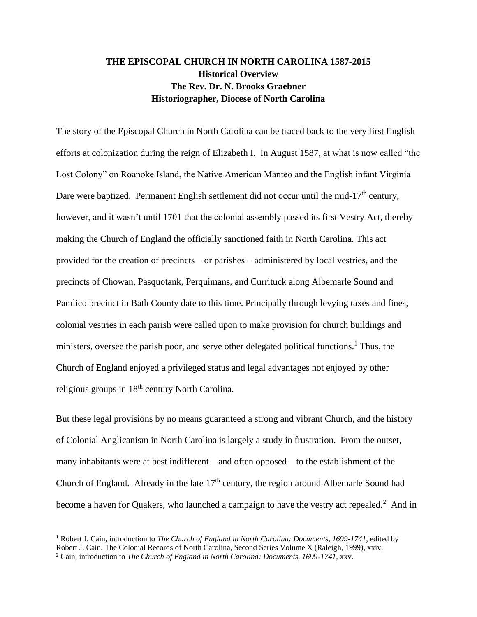# **THE EPISCOPAL CHURCH IN NORTH CAROLINA 1587-2015 Historical Overview The Rev. Dr. N. Brooks Graebner Historiographer, Diocese of North Carolina**

The story of the Episcopal Church in North Carolina can be traced back to the very first English efforts at colonization during the reign of Elizabeth I. In August 1587, at what is now called "the Lost Colony" on Roanoke Island, the Native American Manteo and the English infant Virginia Dare were baptized. Permanent English settlement did not occur until the mid-17<sup>th</sup> century, however, and it wasn't until 1701 that the colonial assembly passed its first Vestry Act, thereby making the Church of England the officially sanctioned faith in North Carolina. This act provided for the creation of precincts – or parishes – administered by local vestries, and the precincts of Chowan, Pasquotank, Perquimans, and Currituck along Albemarle Sound and Pamlico precinct in Bath County date to this time. Principally through levying taxes and fines, colonial vestries in each parish were called upon to make provision for church buildings and ministers, oversee the parish poor, and serve other delegated political functions.<sup>1</sup> Thus, the Church of England enjoyed a privileged status and legal advantages not enjoyed by other religious groups in 18<sup>th</sup> century North Carolina.

But these legal provisions by no means guaranteed a strong and vibrant Church, and the history of Colonial Anglicanism in North Carolina is largely a study in frustration. From the outset, many inhabitants were at best indifferent—and often opposed—to the establishment of the Church of England. Already in the late  $17<sup>th</sup>$  century, the region around Albemarle Sound had become a haven for Quakers, who launched a campaign to have the vestry act repealed.<sup>2</sup> And in

<sup>1</sup> Robert J. Cain, introduction to *The Church of England in North Carolina: Documents, 1699-1741*, edited by Robert J. Cain. The Colonial Records of North Carolina, Second Series Volume X (Raleigh, 1999), xxiv.

<sup>2</sup> Cain, introduction to *The Church of England in North Carolina: Documents, 1699-1741*, xxv.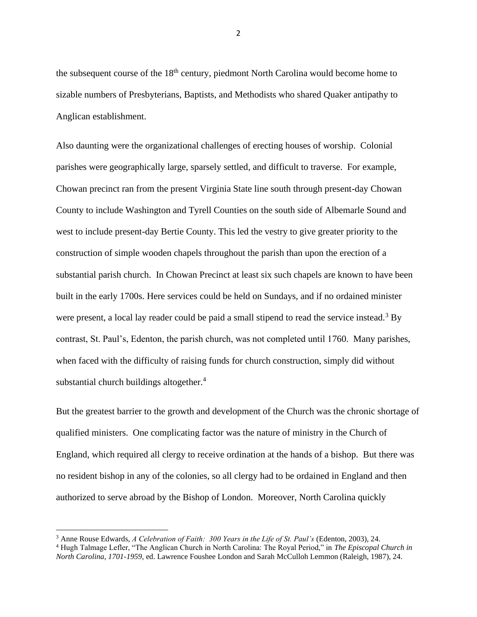the subsequent course of the  $18<sup>th</sup>$  century, piedmont North Carolina would become home to sizable numbers of Presbyterians, Baptists, and Methodists who shared Quaker antipathy to Anglican establishment.

Also daunting were the organizational challenges of erecting houses of worship. Colonial parishes were geographically large, sparsely settled, and difficult to traverse. For example, Chowan precinct ran from the present Virginia State line south through present-day Chowan County to include Washington and Tyrell Counties on the south side of Albemarle Sound and west to include present-day Bertie County. This led the vestry to give greater priority to the construction of simple wooden chapels throughout the parish than upon the erection of a substantial parish church. In Chowan Precinct at least six such chapels are known to have been built in the early 1700s. Here services could be held on Sundays, and if no ordained minister were present, a local lay reader could be paid a small stipend to read the service instead.<sup>3</sup> By contrast, St. Paul's, Edenton, the parish church, was not completed until 1760. Many parishes, when faced with the difficulty of raising funds for church construction, simply did without substantial church buildings altogether. $4$ 

But the greatest barrier to the growth and development of the Church was the chronic shortage of qualified ministers. One complicating factor was the nature of ministry in the Church of England, which required all clergy to receive ordination at the hands of a bishop. But there was no resident bishop in any of the colonies, so all clergy had to be ordained in England and then authorized to serve abroad by the Bishop of London. Moreover, North Carolina quickly

<sup>&</sup>lt;sup>3</sup> Anne Rouse Edwards, *A Celebration of Faith: 300 Years in the Life of St. Paul's (Edenton, 2003), 24.* 

<sup>4</sup> Hugh Talmage Lefler, "The Anglican Church in North Carolina: The Royal Period," in *The Episcopal Church in North Carolina, 1701-1959,* ed. Lawrence Foushee London and Sarah McCulloh Lemmon (Raleigh, 1987), 24.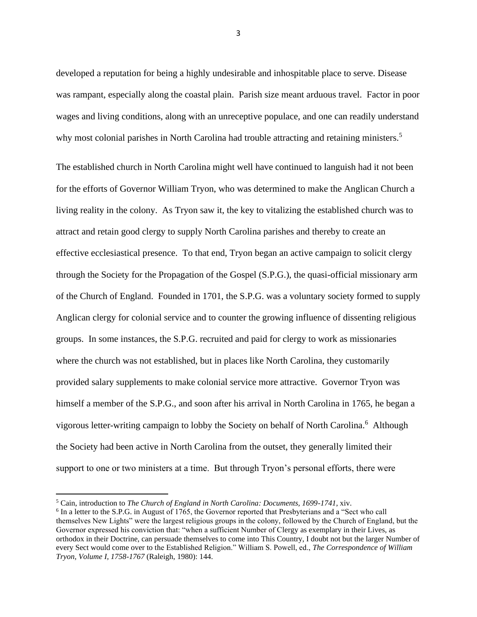developed a reputation for being a highly undesirable and inhospitable place to serve. Disease was rampant, especially along the coastal plain. Parish size meant arduous travel. Factor in poor wages and living conditions, along with an unreceptive populace, and one can readily understand why most colonial parishes in North Carolina had trouble attracting and retaining ministers.<sup>5</sup>

The established church in North Carolina might well have continued to languish had it not been for the efforts of Governor William Tryon, who was determined to make the Anglican Church a living reality in the colony. As Tryon saw it, the key to vitalizing the established church was to attract and retain good clergy to supply North Carolina parishes and thereby to create an effective ecclesiastical presence. To that end, Tryon began an active campaign to solicit clergy through the Society for the Propagation of the Gospel (S.P.G.), the quasi-official missionary arm of the Church of England. Founded in 1701, the S.P.G. was a voluntary society formed to supply Anglican clergy for colonial service and to counter the growing influence of dissenting religious groups. In some instances, the S.P.G. recruited and paid for clergy to work as missionaries where the church was not established, but in places like North Carolina, they customarily provided salary supplements to make colonial service more attractive. Governor Tryon was himself a member of the S.P.G., and soon after his arrival in North Carolina in 1765, he began a vigorous letter-writing campaign to lobby the Society on behalf of North Carolina.<sup>6</sup> Although the Society had been active in North Carolina from the outset, they generally limited their support to one or two ministers at a time. But through Tryon's personal efforts, there were

<sup>5</sup> Cain, introduction to *The Church of England in North Carolina: Documents, 1699-1741*, xiv.

<sup>&</sup>lt;sup>6</sup> In a letter to the S.P.G. in August of 1765, the Governor reported that Presbyterians and a "Sect who call themselves New Lights" were the largest religious groups in the colony, followed by the Church of England, but the Governor expressed his conviction that: "when a sufficient Number of Clergy as exemplary in their Lives, as orthodox in their Doctrine, can persuade themselves to come into This Country, I doubt not but the larger Number of every Sect would come over to the Established Religion." William S. Powell, ed., *The Correspondence of William Tryon, Volume I, 1758-1767* (Raleigh, 1980): 144.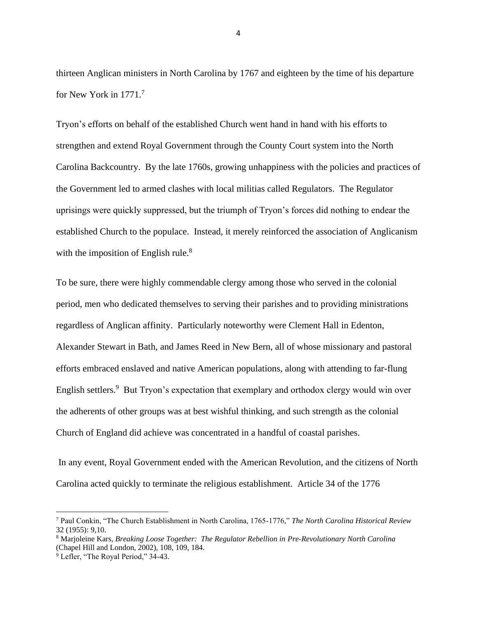thirteen Anglican ministers in North Carolina by 1767 and eighteen by the time of his departure for New York in 1771.<sup>7</sup>

Tryon's efforts on behalf of the established Church went hand in hand with his efforts to strengthen and extend Royal Government through the County Court system into the North Carolina Backcountry. By the late 1760s, growing unhappiness with the policies and practices of the Government led to armed clashes with local militias called Regulators. The Regulator uprisings were quickly suppressed, but the triumph of Tryon's forces did nothing to endear the established Church to the populace. Instead, it merely reinforced the association of Anglicanism with the imposition of English rule.<sup>8</sup>

To be sure, there were highly commendable clergy among those who served in the colonial period, men who dedicated themselves to serving their parishes and to providing ministrations regardless of Anglican affinity. Particularly noteworthy were Clement Hall in Edenton, Alexander Stewart in Bath, and James Reed in New Bern, all of whose missionary and pastoral efforts embraced enslaved and native American populations, along with attending to far-flung English settlers.<sup>9</sup> But Tryon's expectation that exemplary and orthodox clergy would win over the adherents of other groups was at best wishful thinking, and such strength as the colonial Church of England did achieve was concentrated in a handful of coastal parishes.

In any event, Royal Government ended with the American Revolution, and the citizens of North Carolina acted quickly to terminate the religious establishment. Article 34 of the 1776

<sup>7</sup> Paul Conkin, "The Church Establishment in North Carolina, 1765-1776," *The North Carolina Historical Review* 32 (1955): 9,10.

<sup>8</sup> Marjoleine Kars, *Breaking Loose Together: The Regulator Rebellion in Pre-Revolutionary North Carolina* (Chapel Hill and London, 2002), 108, 109, 184.

<sup>&</sup>lt;sup>9</sup> Lefler, "The Royal Period," 34-43.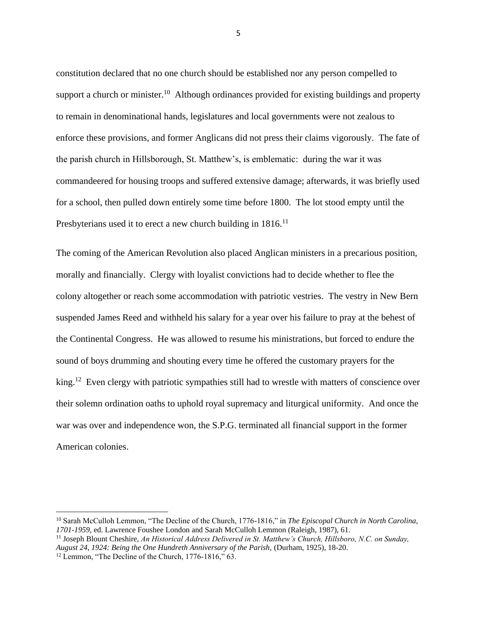constitution declared that no one church should be established nor any person compelled to support a church or minister.<sup>10</sup> Although ordinances provided for existing buildings and property to remain in denominational hands, legislatures and local governments were not zealous to enforce these provisions, and former Anglicans did not press their claims vigorously. The fate of the parish church in Hillsborough, St. Matthew's, is emblematic: during the war it was commandeered for housing troops and suffered extensive damage; afterwards, it was briefly used for a school, then pulled down entirely some time before 1800. The lot stood empty until the Presbyterians used it to erect a new church building in  $1816$ <sup>11</sup>

The coming of the American Revolution also placed Anglican ministers in a precarious position, morally and financially. Clergy with loyalist convictions had to decide whether to flee the colony altogether or reach some accommodation with patriotic vestries. The vestry in New Bern suspended James Reed and withheld his salary for a year over his failure to pray at the behest of the Continental Congress. He was allowed to resume his ministrations, but forced to endure the sound of boys drumming and shouting every time he offered the customary prayers for the king.<sup>12</sup> Even clergy with patriotic sympathies still had to wrestle with matters of conscience over their solemn ordination oaths to uphold royal supremacy and liturgical uniformity. And once the war was over and independence won, the S.P.G. terminated all financial support in the former American colonies.

<sup>10</sup> Sarah McCulloh Lemmon, "The Decline of the Church, 1776-1816," in *The Episcopal Church in North Carolina, 1701-1959,* ed. Lawrence Foushee London and Sarah McCulloh Lemmon (Raleigh, 1987), 61.

<sup>11</sup> Joseph Blount Cheshire, *An Historical Address Delivered in St. Matthew's Church, Hillsboro, N.C. on Sunday, August 24, 1924: Being the One Hundreth Anniversary of the Parish,* (Durham, 1925), 18-20.

<sup>&</sup>lt;sup>12</sup> Lemmon, "The Decline of the Church, 1776-1816," 63.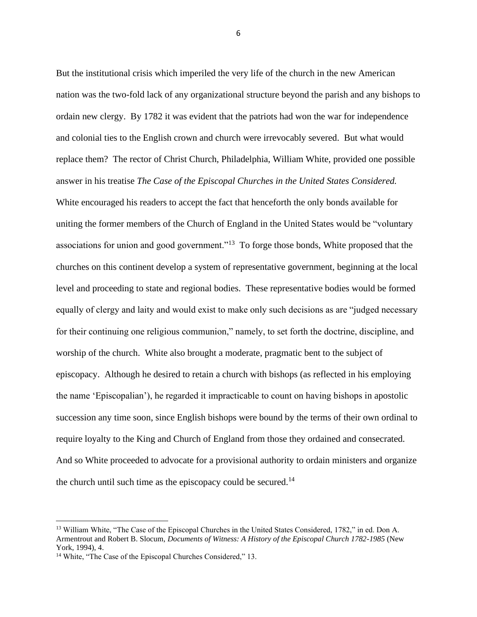But the institutional crisis which imperiled the very life of the church in the new American nation was the two-fold lack of any organizational structure beyond the parish and any bishops to ordain new clergy. By 1782 it was evident that the patriots had won the war for independence and colonial ties to the English crown and church were irrevocably severed. But what would replace them? The rector of Christ Church, Philadelphia, William White, provided one possible answer in his treatise *The Case of the Episcopal Churches in the United States Considered.* White encouraged his readers to accept the fact that henceforth the only bonds available for uniting the former members of the Church of England in the United States would be "voluntary associations for union and good government."<sup>13</sup> To forge those bonds, White proposed that the churches on this continent develop a system of representative government, beginning at the local level and proceeding to state and regional bodies. These representative bodies would be formed equally of clergy and laity and would exist to make only such decisions as are "judged necessary for their continuing one religious communion," namely, to set forth the doctrine, discipline, and worship of the church. White also brought a moderate, pragmatic bent to the subject of episcopacy. Although he desired to retain a church with bishops (as reflected in his employing the name 'Episcopalian'), he regarded it impracticable to count on having bishops in apostolic succession any time soon, since English bishops were bound by the terms of their own ordinal to require loyalty to the King and Church of England from those they ordained and consecrated. And so White proceeded to advocate for a provisional authority to ordain ministers and organize the church until such time as the episcopacy could be secured.<sup>14</sup>

<sup>&</sup>lt;sup>13</sup> William White, "The Case of the Episcopal Churches in the United States Considered, 1782," in ed. Don A. Armentrout and Robert B. Slocum, *Documents of Witness: A History of the Episcopal Church 1782-1985* (New York, 1994), 4.

<sup>&</sup>lt;sup>14</sup> White, "The Case of the Episcopal Churches Considered," 13.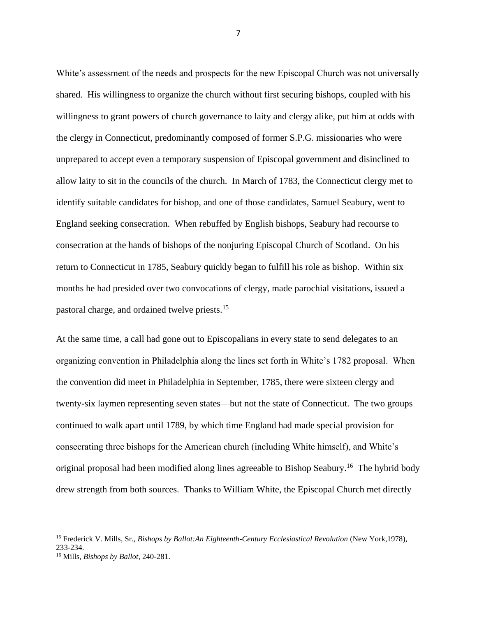White's assessment of the needs and prospects for the new Episcopal Church was not universally shared. His willingness to organize the church without first securing bishops, coupled with his willingness to grant powers of church governance to laity and clergy alike, put him at odds with the clergy in Connecticut, predominantly composed of former S.P.G. missionaries who were unprepared to accept even a temporary suspension of Episcopal government and disinclined to allow laity to sit in the councils of the church. In March of 1783, the Connecticut clergy met to identify suitable candidates for bishop, and one of those candidates, Samuel Seabury, went to England seeking consecration. When rebuffed by English bishops, Seabury had recourse to consecration at the hands of bishops of the nonjuring Episcopal Church of Scotland. On his return to Connecticut in 1785, Seabury quickly began to fulfill his role as bishop. Within six months he had presided over two convocations of clergy, made parochial visitations, issued a pastoral charge, and ordained twelve priests. 15

At the same time, a call had gone out to Episcopalians in every state to send delegates to an organizing convention in Philadelphia along the lines set forth in White's 1782 proposal. When the convention did meet in Philadelphia in September, 1785, there were sixteen clergy and twenty-six laymen representing seven states—but not the state of Connecticut. The two groups continued to walk apart until 1789, by which time England had made special provision for consecrating three bishops for the American church (including White himself), and White's original proposal had been modified along lines agreeable to Bishop Seabury.<sup>16</sup> The hybrid body drew strength from both sources. Thanks to William White, the Episcopal Church met directly

<sup>15</sup> Frederick V. Mills, Sr., *Bishops by Ballot:An Eighteenth-Century Ecclesiastical Revolution* (New York,1978), 233-234.

<sup>16</sup> Mills, *Bishops by Ballot*, 240-281.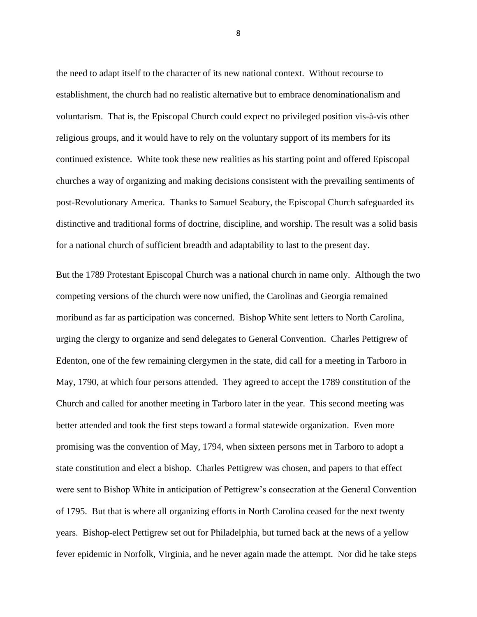the need to adapt itself to the character of its new national context. Without recourse to establishment, the church had no realistic alternative but to embrace denominationalism and voluntarism. That is, the Episcopal Church could expect no privileged position vis-à-vis other religious groups, and it would have to rely on the voluntary support of its members for its continued existence. White took these new realities as his starting point and offered Episcopal churches a way of organizing and making decisions consistent with the prevailing sentiments of post-Revolutionary America. Thanks to Samuel Seabury, the Episcopal Church safeguarded its distinctive and traditional forms of doctrine, discipline, and worship. The result was a solid basis for a national church of sufficient breadth and adaptability to last to the present day.

But the 1789 Protestant Episcopal Church was a national church in name only. Although the two competing versions of the church were now unified, the Carolinas and Georgia remained moribund as far as participation was concerned. Bishop White sent letters to North Carolina, urging the clergy to organize and send delegates to General Convention. Charles Pettigrew of Edenton, one of the few remaining clergymen in the state, did call for a meeting in Tarboro in May, 1790, at which four persons attended. They agreed to accept the 1789 constitution of the Church and called for another meeting in Tarboro later in the year. This second meeting was better attended and took the first steps toward a formal statewide organization. Even more promising was the convention of May, 1794, when sixteen persons met in Tarboro to adopt a state constitution and elect a bishop. Charles Pettigrew was chosen, and papers to that effect were sent to Bishop White in anticipation of Pettigrew's consecration at the General Convention of 1795. But that is where all organizing efforts in North Carolina ceased for the next twenty years. Bishop-elect Pettigrew set out for Philadelphia, but turned back at the news of a yellow fever epidemic in Norfolk, Virginia, and he never again made the attempt. Nor did he take steps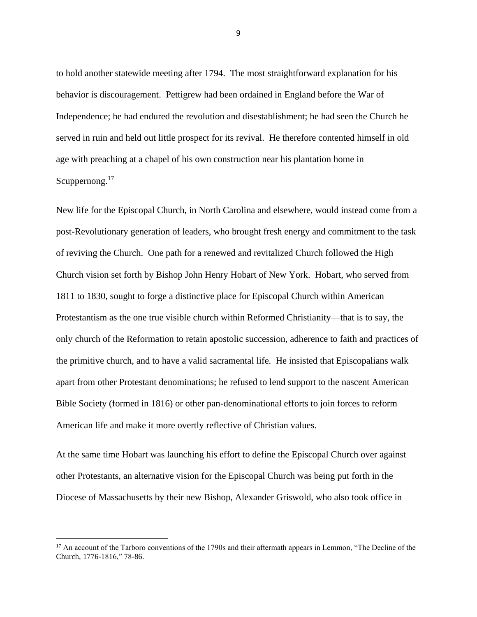to hold another statewide meeting after 1794. The most straightforward explanation for his behavior is discouragement. Pettigrew had been ordained in England before the War of Independence; he had endured the revolution and disestablishment; he had seen the Church he served in ruin and held out little prospect for its revival. He therefore contented himself in old age with preaching at a chapel of his own construction near his plantation home in Scuppernong.<sup>17</sup>

New life for the Episcopal Church, in North Carolina and elsewhere, would instead come from a post-Revolutionary generation of leaders, who brought fresh energy and commitment to the task of reviving the Church. One path for a renewed and revitalized Church followed the High Church vision set forth by Bishop John Henry Hobart of New York. Hobart, who served from 1811 to 1830, sought to forge a distinctive place for Episcopal Church within American Protestantism as the one true visible church within Reformed Christianity—that is to say, the only church of the Reformation to retain apostolic succession, adherence to faith and practices of the primitive church, and to have a valid sacramental life. He insisted that Episcopalians walk apart from other Protestant denominations; he refused to lend support to the nascent American Bible Society (formed in 1816) or other pan-denominational efforts to join forces to reform American life and make it more overtly reflective of Christian values.

At the same time Hobart was launching his effort to define the Episcopal Church over against other Protestants, an alternative vision for the Episcopal Church was being put forth in the Diocese of Massachusetts by their new Bishop, Alexander Griswold, who also took office in

<sup>&</sup>lt;sup>17</sup> An account of the Tarboro conventions of the 1790s and their aftermath appears in Lemmon, "The Decline of the Church, 1776-1816," 78-86.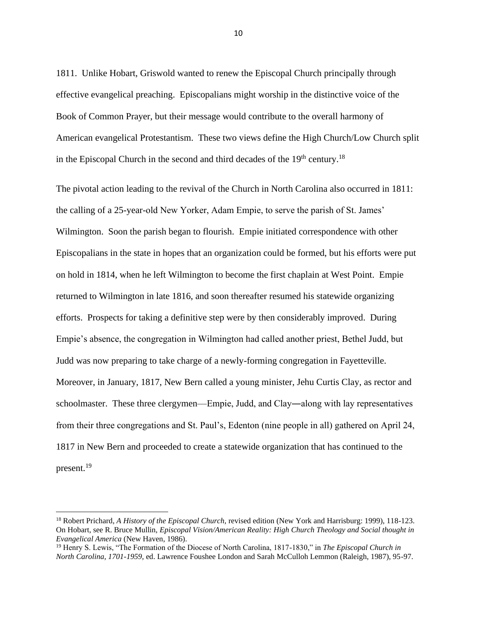1811. Unlike Hobart, Griswold wanted to renew the Episcopal Church principally through effective evangelical preaching. Episcopalians might worship in the distinctive voice of the Book of Common Prayer, but their message would contribute to the overall harmony of American evangelical Protestantism. These two views define the High Church/Low Church split in the Episcopal Church in the second and third decades of the  $19<sup>th</sup>$  century.<sup>18</sup>

The pivotal action leading to the revival of the Church in North Carolina also occurred in 1811: the calling of a 25-year-old New Yorker, Adam Empie, to serve the parish of St. James' Wilmington. Soon the parish began to flourish. Empie initiated correspondence with other Episcopalians in the state in hopes that an organization could be formed, but his efforts were put on hold in 1814, when he left Wilmington to become the first chaplain at West Point. Empie returned to Wilmington in late 1816, and soon thereafter resumed his statewide organizing efforts. Prospects for taking a definitive step were by then considerably improved. During Empie's absence, the congregation in Wilmington had called another priest, Bethel Judd, but Judd was now preparing to take charge of a newly-forming congregation in Fayetteville. Moreover, in January, 1817, New Bern called a young minister, Jehu Curtis Clay, as rector and schoolmaster. These three clergymen—Empie, Judd, and Clay―along with lay representatives from their three congregations and St. Paul's, Edenton (nine people in all) gathered on April 24, 1817 in New Bern and proceeded to create a statewide organization that has continued to the present.<sup>19</sup>

<sup>18</sup> Robert Prichard, *A History of the Episcopal Church,* revised edition (New York and Harrisburg: 1999), 118-123. On Hobart, see R. Bruce Mullin, *Episcopal Vision/American Reality: High Church Theology and Social thought in Evangelical America* (New Haven, 1986).

<sup>19</sup> Henry S. Lewis, "The Formation of the Diocese of North Carolina, 1817-1830," in *The Episcopal Church in North Carolina, 1701-1959,* ed. Lawrence Foushee London and Sarah McCulloh Lemmon (Raleigh, 1987), 95-97.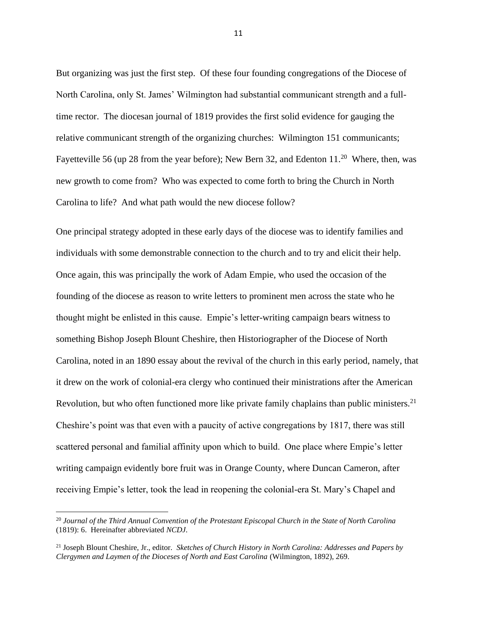But organizing was just the first step. Of these four founding congregations of the Diocese of North Carolina, only St. James' Wilmington had substantial communicant strength and a fulltime rector. The diocesan journal of 1819 provides the first solid evidence for gauging the relative communicant strength of the organizing churches: Wilmington 151 communicants; Fayetteville 56 (up 28 from the year before); New Bern 32, and Edenton  $11.^{20}$  Where, then, was new growth to come from? Who was expected to come forth to bring the Church in North Carolina to life? And what path would the new diocese follow?

One principal strategy adopted in these early days of the diocese was to identify families and individuals with some demonstrable connection to the church and to try and elicit their help. Once again, this was principally the work of Adam Empie, who used the occasion of the founding of the diocese as reason to write letters to prominent men across the state who he thought might be enlisted in this cause. Empie's letter-writing campaign bears witness to something Bishop Joseph Blount Cheshire, then Historiographer of the Diocese of North Carolina, noted in an 1890 essay about the revival of the church in this early period, namely, that it drew on the work of colonial-era clergy who continued their ministrations after the American Revolution, but who often functioned more like private family chaplains than public ministers.<sup>21</sup> Cheshire's point was that even with a paucity of active congregations by 1817, there was still scattered personal and familial affinity upon which to build. One place where Empie's letter writing campaign evidently bore fruit was in Orange County, where Duncan Cameron, after receiving Empie's letter, took the lead in reopening the colonial-era St. Mary's Chapel and

<sup>20</sup> *Journal of the Third Annual Convention of the Protestant Episcopal Church in the State of North Carolina* (1819): 6. Hereinafter abbreviated *NCDJ*.

<sup>21</sup> Joseph Blount Cheshire, Jr., editor. *Sketches of Church History in North Carolina: Addresses and Papers by Clergymen and Laymen of the Dioceses of North and East Carolina* (Wilmington, 1892), 269.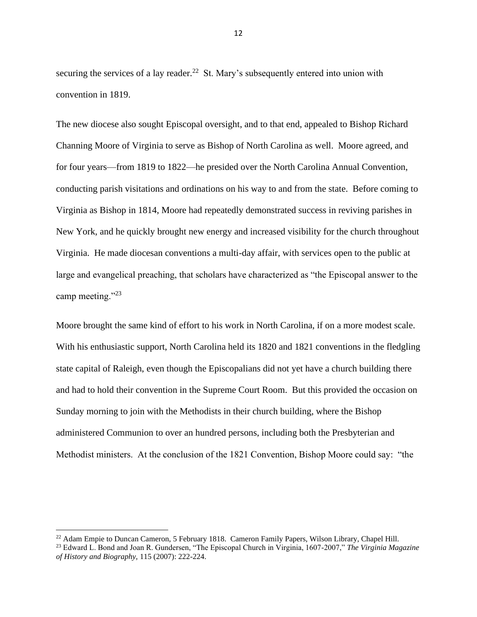securing the services of a lay reader.<sup>22</sup> St. Mary's subsequently entered into union with convention in 1819.

The new diocese also sought Episcopal oversight, and to that end, appealed to Bishop Richard Channing Moore of Virginia to serve as Bishop of North Carolina as well. Moore agreed, and for four years—from 1819 to 1822—he presided over the North Carolina Annual Convention, conducting parish visitations and ordinations on his way to and from the state. Before coming to Virginia as Bishop in 1814, Moore had repeatedly demonstrated success in reviving parishes in New York, and he quickly brought new energy and increased visibility for the church throughout Virginia. He made diocesan conventions a multi-day affair, with services open to the public at large and evangelical preaching, that scholars have characterized as "the Episcopal answer to the camp meeting."<sup>23</sup>

Moore brought the same kind of effort to his work in North Carolina, if on a more modest scale. With his enthusiastic support, North Carolina held its 1820 and 1821 conventions in the fledgling state capital of Raleigh, even though the Episcopalians did not yet have a church building there and had to hold their convention in the Supreme Court Room. But this provided the occasion on Sunday morning to join with the Methodists in their church building, where the Bishop administered Communion to over an hundred persons, including both the Presbyterian and Methodist ministers. At the conclusion of the 1821 Convention, Bishop Moore could say: "the

<sup>&</sup>lt;sup>22</sup> Adam Empie to Duncan Cameron, 5 February 1818. Cameron Family Papers, Wilson Library, Chapel Hill.

<sup>23</sup> Edward L. Bond and Joan R. Gundersen, "The Episcopal Church in Virginia, 1607-2007," *The Virginia Magazine of History and Biography,* 115 (2007): 222-224.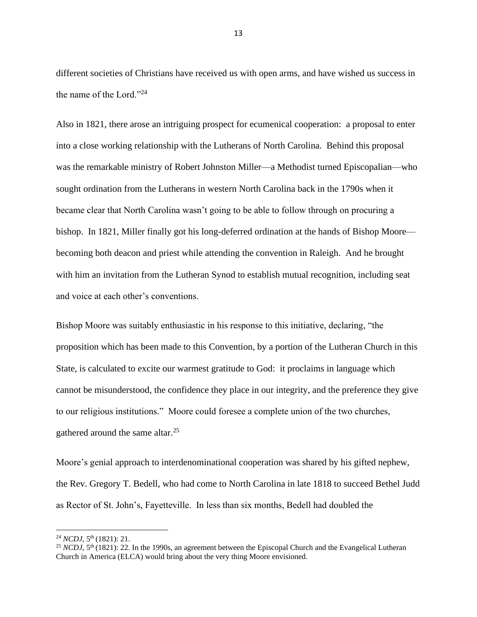different societies of Christians have received us with open arms, and have wished us success in the name of the Lord."<sup>24</sup>

Also in 1821, there arose an intriguing prospect for ecumenical cooperation: a proposal to enter into a close working relationship with the Lutherans of North Carolina. Behind this proposal was the remarkable ministry of Robert Johnston Miller—a Methodist turned Episcopalian—who sought ordination from the Lutherans in western North Carolina back in the 1790s when it became clear that North Carolina wasn't going to be able to follow through on procuring a bishop. In 1821, Miller finally got his long-deferred ordination at the hands of Bishop Moore becoming both deacon and priest while attending the convention in Raleigh. And he brought with him an invitation from the Lutheran Synod to establish mutual recognition, including seat and voice at each other's conventions.

Bishop Moore was suitably enthusiastic in his response to this initiative, declaring, "the proposition which has been made to this Convention, by a portion of the Lutheran Church in this State, is calculated to excite our warmest gratitude to God: it proclaims in language which cannot be misunderstood, the confidence they place in our integrity, and the preference they give to our religious institutions." Moore could foresee a complete union of the two churches, gathered around the same altar.<sup>25</sup>

Moore's genial approach to interdenominational cooperation was shared by his gifted nephew, the Rev. Gregory T. Bedell, who had come to North Carolina in late 1818 to succeed Bethel Judd as Rector of St. John's, Fayetteville. In less than six months, Bedell had doubled the

<sup>&</sup>lt;sup>24</sup> *NCDJ*, 5<sup>th</sup> (1821): 21.

 $^{25}$  *NCDJ*,  $5<sup>th</sup>$  (1821): 22. In the 1990s, an agreement between the Episcopal Church and the Evangelical Lutheran Church in America (ELCA) would bring about the very thing Moore envisioned.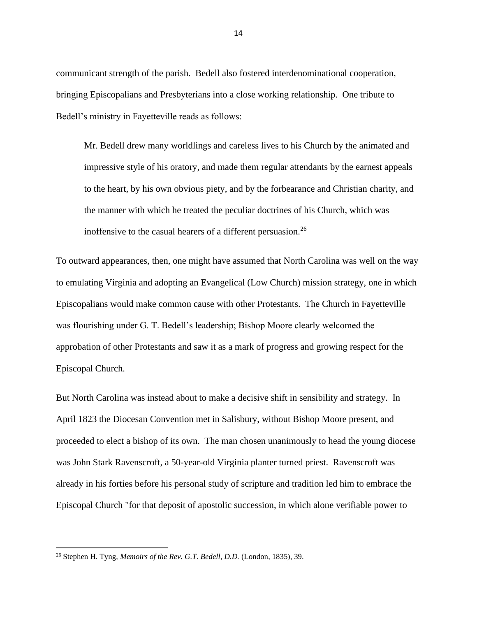communicant strength of the parish. Bedell also fostered interdenominational cooperation, bringing Episcopalians and Presbyterians into a close working relationship. One tribute to Bedell's ministry in Fayetteville reads as follows:

Mr. Bedell drew many worldlings and careless lives to his Church by the animated and impressive style of his oratory, and made them regular attendants by the earnest appeals to the heart, by his own obvious piety, and by the forbearance and Christian charity, and the manner with which he treated the peculiar doctrines of his Church, which was inoffensive to the casual hearers of a different persuasion.<sup>26</sup>

To outward appearances, then, one might have assumed that North Carolina was well on the way to emulating Virginia and adopting an Evangelical (Low Church) mission strategy, one in which Episcopalians would make common cause with other Protestants. The Church in Fayetteville was flourishing under G. T. Bedell's leadership; Bishop Moore clearly welcomed the approbation of other Protestants and saw it as a mark of progress and growing respect for the Episcopal Church.

But North Carolina was instead about to make a decisive shift in sensibility and strategy. In April 1823 the Diocesan Convention met in Salisbury, without Bishop Moore present, and proceeded to elect a bishop of its own. The man chosen unanimously to head the young diocese was John Stark Ravenscroft, a 50-year-old Virginia planter turned priest. Ravenscroft was already in his forties before his personal study of scripture and tradition led him to embrace the Episcopal Church "for that deposit of apostolic succession, in which alone verifiable power to

<sup>26</sup> Stephen H. Tyng, *Memoirs of the Rev. G.T. Bedell, D.D.* (London, 1835), 39.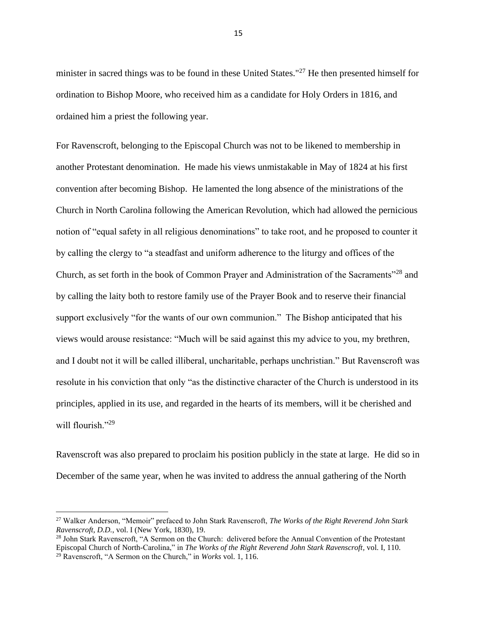minister in sacred things was to be found in these United States."<sup>27</sup> He then presented himself for ordination to Bishop Moore, who received him as a candidate for Holy Orders in 1816, and ordained him a priest the following year.

For Ravenscroft, belonging to the Episcopal Church was not to be likened to membership in another Protestant denomination. He made his views unmistakable in May of 1824 at his first convention after becoming Bishop. He lamented the long absence of the ministrations of the Church in North Carolina following the American Revolution, which had allowed the pernicious notion of "equal safety in all religious denominations" to take root, and he proposed to counter it by calling the clergy to "a steadfast and uniform adherence to the liturgy and offices of the Church, as set forth in the book of Common Prayer and Administration of the Sacraments"<sup>28</sup> and by calling the laity both to restore family use of the Prayer Book and to reserve their financial support exclusively "for the wants of our own communion." The Bishop anticipated that his views would arouse resistance: "Much will be said against this my advice to you, my brethren, and I doubt not it will be called illiberal, uncharitable, perhaps unchristian." But Ravenscroft was resolute in his conviction that only "as the distinctive character of the Church is understood in its principles, applied in its use, and regarded in the hearts of its members, will it be cherished and will flourish."29

Ravenscroft was also prepared to proclaim his position publicly in the state at large. He did so in December of the same year, when he was invited to address the annual gathering of the North

<sup>27</sup> Walker Anderson, "Memoir" prefaced to John Stark Ravenscroft, *The Works of the Right Reverend John Stark Ravenscroft, D.D.*, vol. I (New York, 1830), 19.

<sup>28</sup> John Stark Ravenscroft, "A Sermon on the Church: delivered before the Annual Convention of the Protestant Episcopal Church of North-Carolina," in *The Works of the Right Reverend John Stark Ravenscroft,* vol. I, 110. <sup>29</sup> Ravenscroft, "A Sermon on the Church," in *Works* vol. 1, 116.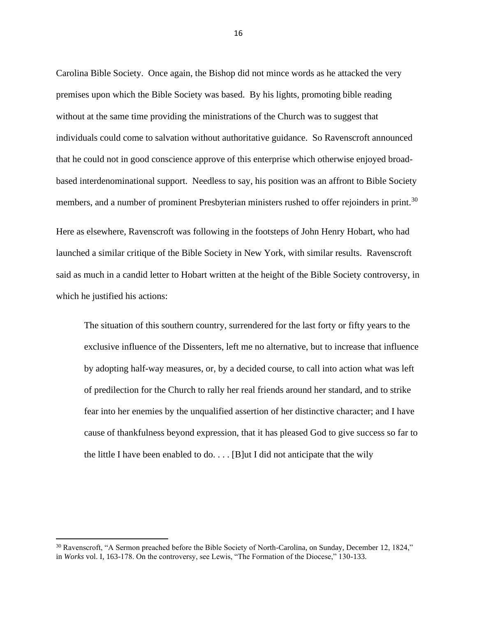Carolina Bible Society. Once again, the Bishop did not mince words as he attacked the very premises upon which the Bible Society was based. By his lights, promoting bible reading without at the same time providing the ministrations of the Church was to suggest that individuals could come to salvation without authoritative guidance. So Ravenscroft announced that he could not in good conscience approve of this enterprise which otherwise enjoyed broadbased interdenominational support. Needless to say, his position was an affront to Bible Society members, and a number of prominent Presbyterian ministers rushed to offer rejoinders in print.<sup>30</sup>

Here as elsewhere, Ravenscroft was following in the footsteps of John Henry Hobart, who had launched a similar critique of the Bible Society in New York, with similar results. Ravenscroft said as much in a candid letter to Hobart written at the height of the Bible Society controversy, in which he justified his actions:

The situation of this southern country, surrendered for the last forty or fifty years to the exclusive influence of the Dissenters, left me no alternative, but to increase that influence by adopting half-way measures, or, by a decided course, to call into action what was left of predilection for the Church to rally her real friends around her standard, and to strike fear into her enemies by the unqualified assertion of her distinctive character; and I have cause of thankfulness beyond expression, that it has pleased God to give success so far to the little I have been enabled to  $\phi$ ... [B]ut I did not anticipate that the wily

<sup>&</sup>lt;sup>30</sup> Ravenscroft, "A Sermon preached before the Bible Society of North-Carolina, on Sunday, December 12, 1824," in *Works* vol. I, 163-178. On the controversy, see Lewis, "The Formation of the Diocese," 130-133.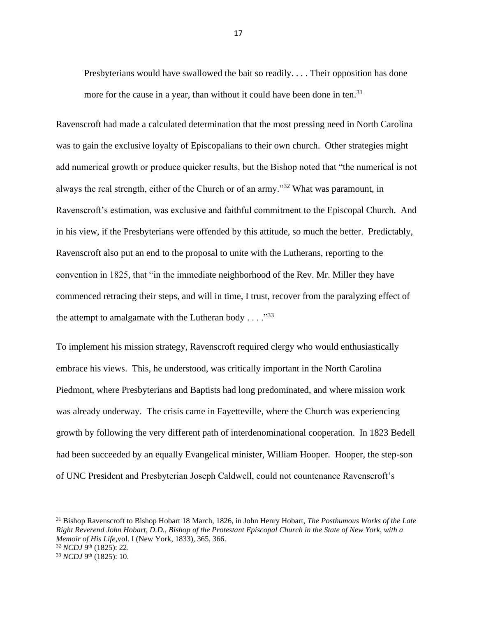Presbyterians would have swallowed the bait so readily. . . . Their opposition has done more for the cause in a year, than without it could have been done in ten.<sup>31</sup>

Ravenscroft had made a calculated determination that the most pressing need in North Carolina was to gain the exclusive loyalty of Episcopalians to their own church. Other strategies might add numerical growth or produce quicker results, but the Bishop noted that "the numerical is not always the real strength, either of the Church or of an army."<sup>32</sup> What was paramount, in Ravenscroft's estimation, was exclusive and faithful commitment to the Episcopal Church. And in his view, if the Presbyterians were offended by this attitude, so much the better. Predictably, Ravenscroft also put an end to the proposal to unite with the Lutherans, reporting to the convention in 1825, that "in the immediate neighborhood of the Rev. Mr. Miller they have commenced retracing their steps, and will in time, I trust, recover from the paralyzing effect of the attempt to amalgamate with the Lutheran body  $\dots$ ."<sup>33</sup>

To implement his mission strategy, Ravenscroft required clergy who would enthusiastically embrace his views. This, he understood, was critically important in the North Carolina Piedmont, where Presbyterians and Baptists had long predominated, and where mission work was already underway. The crisis came in Fayetteville, where the Church was experiencing growth by following the very different path of interdenominational cooperation. In 1823 Bedell had been succeeded by an equally Evangelical minister, William Hooper. Hooper, the step-son of UNC President and Presbyterian Joseph Caldwell, could not countenance Ravenscroft's

<sup>31</sup> Bishop Ravenscroft to Bishop Hobart 18 March, 1826, in John Henry Hobart, *The Posthumous Works of the Late Right Reverend John Hobart, D.D., Bishop of the Protestant Episcopal Church in the State of New York, with a Memoir of His Life,*vol. I (New York, 1833), 365, 366.

<sup>&</sup>lt;sup>32</sup> *NCDJ* 9<sup>th</sup> (1825): 22.

<sup>&</sup>lt;sup>33</sup> *NCDJ* 9<sup>th</sup> (1825): 10.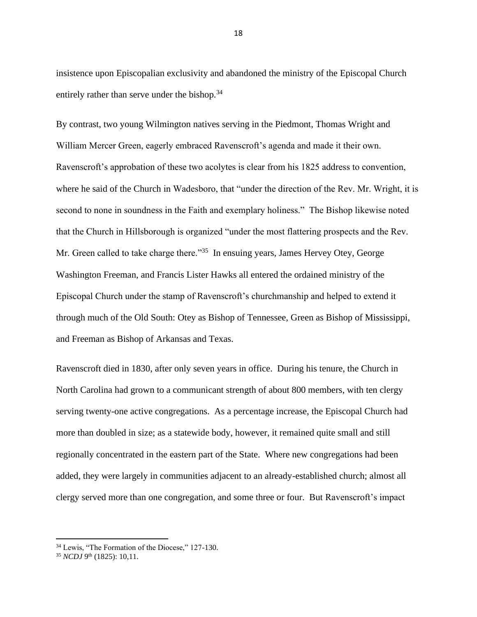insistence upon Episcopalian exclusivity and abandoned the ministry of the Episcopal Church entirely rather than serve under the bishop.<sup>34</sup>

By contrast, two young Wilmington natives serving in the Piedmont, Thomas Wright and William Mercer Green, eagerly embraced Ravenscroft's agenda and made it their own. Ravenscroft's approbation of these two acolytes is clear from his 1825 address to convention, where he said of the Church in Wadesboro, that "under the direction of the Rev. Mr. Wright, it is second to none in soundness in the Faith and exemplary holiness." The Bishop likewise noted that the Church in Hillsborough is organized "under the most flattering prospects and the Rev. Mr. Green called to take charge there."<sup>35</sup> In ensuing years, James Hervey Otey, George Washington Freeman, and Francis Lister Hawks all entered the ordained ministry of the Episcopal Church under the stamp of Ravenscroft's churchmanship and helped to extend it through much of the Old South: Otey as Bishop of Tennessee, Green as Bishop of Mississippi, and Freeman as Bishop of Arkansas and Texas.

Ravenscroft died in 1830, after only seven years in office. During his tenure, the Church in North Carolina had grown to a communicant strength of about 800 members, with ten clergy serving twenty-one active congregations. As a percentage increase, the Episcopal Church had more than doubled in size; as a statewide body, however, it remained quite small and still regionally concentrated in the eastern part of the State. Where new congregations had been added, they were largely in communities adjacent to an already-established church; almost all clergy served more than one congregation, and some three or four. But Ravenscroft's impact

<sup>&</sup>lt;sup>34</sup> Lewis, "The Formation of the Diocese," 127-130.

<sup>&</sup>lt;sup>35</sup> *NCDJ* 9<sup>th</sup> (1825): 10,11.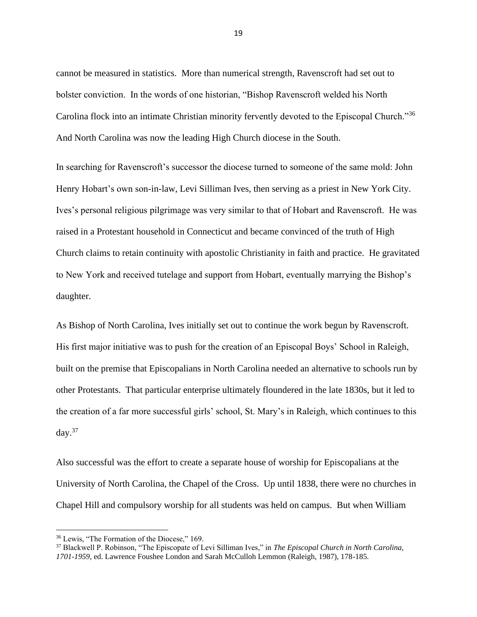cannot be measured in statistics. More than numerical strength, Ravenscroft had set out to bolster conviction. In the words of one historian, "Bishop Ravenscroft welded his North Carolina flock into an intimate Christian minority fervently devoted to the Episcopal Church."<sup>36</sup> And North Carolina was now the leading High Church diocese in the South.

In searching for Ravenscroft's successor the diocese turned to someone of the same mold: John Henry Hobart's own son-in-law, Levi Silliman Ives, then serving as a priest in New York City. Ives's personal religious pilgrimage was very similar to that of Hobart and Ravenscroft. He was raised in a Protestant household in Connecticut and became convinced of the truth of High Church claims to retain continuity with apostolic Christianity in faith and practice. He gravitated to New York and received tutelage and support from Hobart, eventually marrying the Bishop's daughter.

As Bishop of North Carolina, Ives initially set out to continue the work begun by Ravenscroft. His first major initiative was to push for the creation of an Episcopal Boys' School in Raleigh, built on the premise that Episcopalians in North Carolina needed an alternative to schools run by other Protestants. That particular enterprise ultimately floundered in the late 1830s, but it led to the creation of a far more successful girls' school, St. Mary's in Raleigh, which continues to this day. $37$ 

Also successful was the effort to create a separate house of worship for Episcopalians at the University of North Carolina, the Chapel of the Cross. Up until 1838, there were no churches in Chapel Hill and compulsory worship for all students was held on campus. But when William

<sup>36</sup> Lewis, "The Formation of the Diocese," 169.

<sup>37</sup> Blackwell P. Robinson, "The Episcopate of Levi Silliman Ives," in *The Episcopal Church in North Carolina, 1701-1959,* ed. Lawrence Foushee London and Sarah McCulloh Lemmon (Raleigh, 1987), 178-185.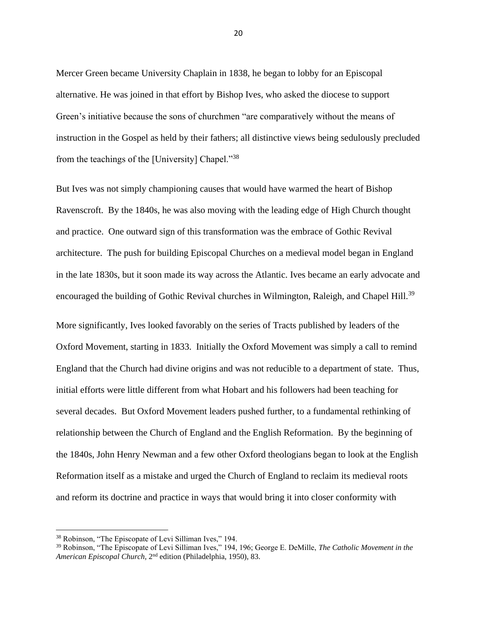Mercer Green became University Chaplain in 1838, he began to lobby for an Episcopal alternative. He was joined in that effort by Bishop Ives, who asked the diocese to support Green's initiative because the sons of churchmen "are comparatively without the means of instruction in the Gospel as held by their fathers; all distinctive views being sedulously precluded from the teachings of the [University] Chapel."<sup>38</sup>

But Ives was not simply championing causes that would have warmed the heart of Bishop Ravenscroft. By the 1840s, he was also moving with the leading edge of High Church thought and practice. One outward sign of this transformation was the embrace of Gothic Revival architecture. The push for building Episcopal Churches on a medieval model began in England in the late 1830s, but it soon made its way across the Atlantic. Ives became an early advocate and encouraged the building of Gothic Revival churches in Wilmington, Raleigh, and Chapel Hill.<sup>39</sup>

More significantly, Ives looked favorably on the series of Tracts published by leaders of the Oxford Movement, starting in 1833. Initially the Oxford Movement was simply a call to remind England that the Church had divine origins and was not reducible to a department of state. Thus, initial efforts were little different from what Hobart and his followers had been teaching for several decades. But Oxford Movement leaders pushed further, to a fundamental rethinking of relationship between the Church of England and the English Reformation. By the beginning of the 1840s, John Henry Newman and a few other Oxford theologians began to look at the English Reformation itself as a mistake and urged the Church of England to reclaim its medieval roots and reform its doctrine and practice in ways that would bring it into closer conformity with

<sup>38</sup> Robinson, "The Episcopate of Levi Silliman Ives," 194.

<sup>39</sup> Robinson, "The Episcopate of Levi Silliman Ives," 194, 196; George E. DeMille, *The Catholic Movement in the*  American Episcopal Church, 2<sup>nd</sup> edition (Philadelphia, 1950), 83.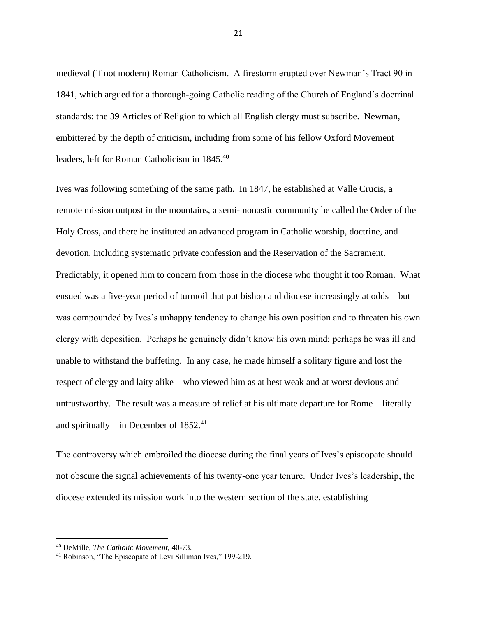medieval (if not modern) Roman Catholicism. A firestorm erupted over Newman's Tract 90 in 1841, which argued for a thorough-going Catholic reading of the Church of England's doctrinal standards: the 39 Articles of Religion to which all English clergy must subscribe. Newman, embittered by the depth of criticism, including from some of his fellow Oxford Movement leaders, left for Roman Catholicism in 1845.<sup>40</sup>

Ives was following something of the same path. In 1847, he established at Valle Crucis, a remote mission outpost in the mountains, a semi-monastic community he called the Order of the Holy Cross, and there he instituted an advanced program in Catholic worship, doctrine, and devotion, including systematic private confession and the Reservation of the Sacrament. Predictably, it opened him to concern from those in the diocese who thought it too Roman. What ensued was a five-year period of turmoil that put bishop and diocese increasingly at odds—but was compounded by Ives's unhappy tendency to change his own position and to threaten his own clergy with deposition. Perhaps he genuinely didn't know his own mind; perhaps he was ill and unable to withstand the buffeting. In any case, he made himself a solitary figure and lost the respect of clergy and laity alike—who viewed him as at best weak and at worst devious and untrustworthy. The result was a measure of relief at his ultimate departure for Rome—literally and spiritually—in December of 1852.<sup>41</sup>

The controversy which embroiled the diocese during the final years of Ives's episcopate should not obscure the signal achievements of his twenty-one year tenure. Under Ives's leadership, the diocese extended its mission work into the western section of the state, establishing

<sup>40</sup> DeMille, *The Catholic Movement,* 40-73.

<sup>41</sup> Robinson, "The Episcopate of Levi Silliman Ives," 199-219.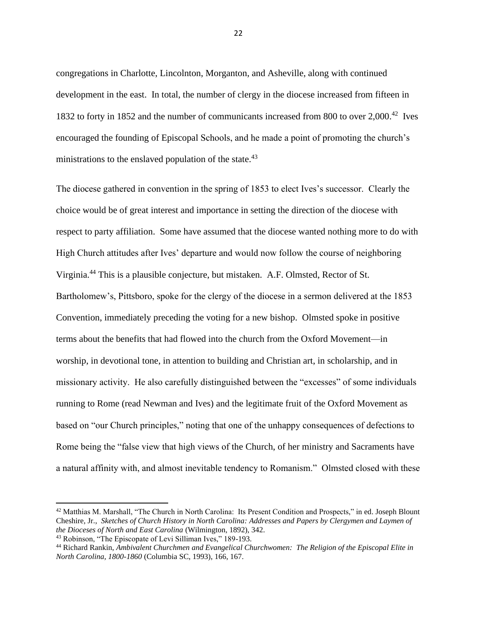congregations in Charlotte, Lincolnton, Morganton, and Asheville, along with continued development in the east. In total, the number of clergy in the diocese increased from fifteen in 1832 to forty in 1852 and the number of communicants increased from 800 to over 2,000.<sup>42</sup> Ives encouraged the founding of Episcopal Schools, and he made a point of promoting the church's ministrations to the enslaved population of the state.<sup>43</sup>

The diocese gathered in convention in the spring of 1853 to elect Ives's successor. Clearly the choice would be of great interest and importance in setting the direction of the diocese with respect to party affiliation. Some have assumed that the diocese wanted nothing more to do with High Church attitudes after Ives' departure and would now follow the course of neighboring Virginia.<sup>44</sup> This is a plausible conjecture, but mistaken. A.F. Olmsted, Rector of St. Bartholomew's, Pittsboro, spoke for the clergy of the diocese in a sermon delivered at the 1853 Convention, immediately preceding the voting for a new bishop. Olmsted spoke in positive terms about the benefits that had flowed into the church from the Oxford Movement—in worship, in devotional tone, in attention to building and Christian art, in scholarship, and in missionary activity. He also carefully distinguished between the "excesses" of some individuals running to Rome (read Newman and Ives) and the legitimate fruit of the Oxford Movement as based on "our Church principles," noting that one of the unhappy consequences of defections to Rome being the "false view that high views of the Church, of her ministry and Sacraments have a natural affinity with, and almost inevitable tendency to Romanism." Olmsted closed with these

<sup>42</sup> Matthias M. Marshall, "The Church in North Carolina: Its Present Condition and Prospects," in ed. Joseph Blount Cheshire, Jr., *Sketches of Church History in North Carolina: Addresses and Papers by Clergymen and Laymen of the Dioceses of North and East Carolina* (Wilmington, 1892), 342.

<sup>43</sup> Robinson, "The Episcopate of Levi Silliman Ives," 189-193.

<sup>44</sup> Richard Rankin, *Ambivalent Churchmen and Evangelical Churchwomen: The Religion of the Episcopal Elite in North Carolina, 1800-1860* (Columbia SC, 1993), 166, 167.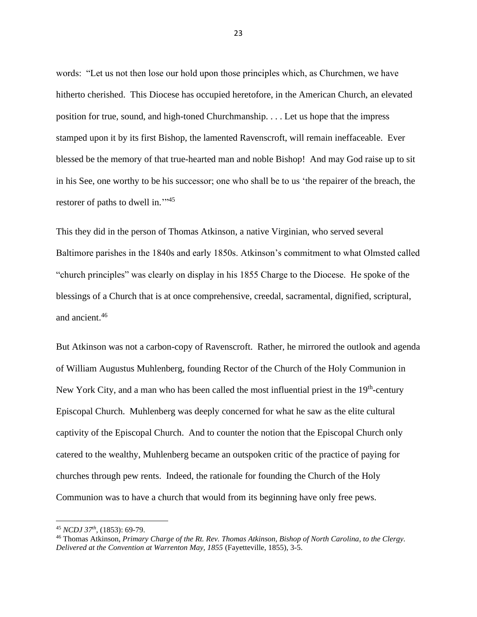words: "Let us not then lose our hold upon those principles which, as Churchmen, we have hitherto cherished. This Diocese has occupied heretofore, in the American Church, an elevated position for true, sound, and high-toned Churchmanship. . . . Let us hope that the impress stamped upon it by its first Bishop, the lamented Ravenscroft, will remain ineffaceable. Ever blessed be the memory of that true-hearted man and noble Bishop! And may God raise up to sit in his See, one worthy to be his successor; one who shall be to us 'the repairer of the breach, the restorer of paths to dwell in."<sup>45</sup>

This they did in the person of Thomas Atkinson, a native Virginian, who served several Baltimore parishes in the 1840s and early 1850s. Atkinson's commitment to what Olmsted called "church principles" was clearly on display in his 1855 Charge to the Diocese. He spoke of the blessings of a Church that is at once comprehensive, creedal, sacramental, dignified, scriptural, and ancient.<sup>46</sup>

But Atkinson was not a carbon-copy of Ravenscroft. Rather, he mirrored the outlook and agenda of William Augustus Muhlenberg, founding Rector of the Church of the Holy Communion in New York City, and a man who has been called the most influential priest in the 19<sup>th</sup>-century Episcopal Church. Muhlenberg was deeply concerned for what he saw as the elite cultural captivity of the Episcopal Church. And to counter the notion that the Episcopal Church only catered to the wealthy, Muhlenberg became an outspoken critic of the practice of paying for churches through pew rents. Indeed, the rationale for founding the Church of the Holy Communion was to have a church that would from its beginning have only free pews.

<sup>45</sup> *NCDJ 37th ,* (1853): 69-79.

<sup>46</sup> Thomas Atkinson, *Primary Charge of the Rt. Rev. Thomas Atkinson, Bishop of North Carolina, to the Clergy. Delivered at the Convention at Warrenton May, 1855* (Fayetteville, 1855), 3-5.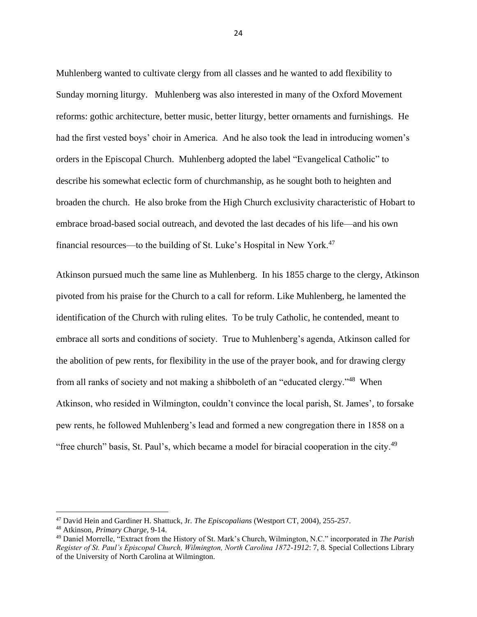Muhlenberg wanted to cultivate clergy from all classes and he wanted to add flexibility to Sunday morning liturgy. Muhlenberg was also interested in many of the Oxford Movement reforms: gothic architecture, better music, better liturgy, better ornaments and furnishings. He had the first vested boys' choir in America. And he also took the lead in introducing women's orders in the Episcopal Church. Muhlenberg adopted the label "Evangelical Catholic" to describe his somewhat eclectic form of churchmanship, as he sought both to heighten and broaden the church. He also broke from the High Church exclusivity characteristic of Hobart to embrace broad-based social outreach, and devoted the last decades of his life—and his own financial resources—to the building of St. Luke's Hospital in New York.<sup>47</sup>

Atkinson pursued much the same line as Muhlenberg. In his 1855 charge to the clergy, Atkinson pivoted from his praise for the Church to a call for reform. Like Muhlenberg, he lamented the identification of the Church with ruling elites. To be truly Catholic, he contended, meant to embrace all sorts and conditions of society. True to Muhlenberg's agenda, Atkinson called for the abolition of pew rents, for flexibility in the use of the prayer book, and for drawing clergy from all ranks of society and not making a shibboleth of an "educated clergy."<sup>48</sup> When Atkinson, who resided in Wilmington, couldn't convince the local parish, St. James', to forsake pew rents, he followed Muhlenberg's lead and formed a new congregation there in 1858 on a "free church" basis, St. Paul's, which became a model for biracial cooperation in the city.<sup>49</sup>

<sup>47</sup> David Hein and Gardiner H. Shattuck, Jr. *The Episcopalians* (Westport CT, 2004), 255-257.

<sup>48</sup> Atkinson, *Primary Charge*, 9-14.

<sup>49</sup> Daniel Morrelle, "Extract from the History of St. Mark's Church, Wilmington, N.C." incorporated in *The Parish Register of St. Paul's Episcopal Church, Wilmington, North Carolina 1872-1912*: 7, 8*.* Special Collections Library of the University of North Carolina at Wilmington.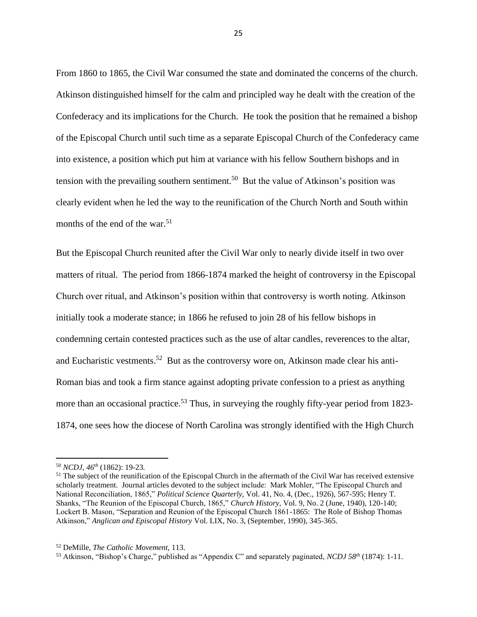From 1860 to 1865, the Civil War consumed the state and dominated the concerns of the church. Atkinson distinguished himself for the calm and principled way he dealt with the creation of the Confederacy and its implications for the Church. He took the position that he remained a bishop of the Episcopal Church until such time as a separate Episcopal Church of the Confederacy came into existence, a position which put him at variance with his fellow Southern bishops and in tension with the prevailing southern sentiment.<sup>50</sup> But the value of Atkinson's position was clearly evident when he led the way to the reunification of the Church North and South within months of the end of the war.<sup>51</sup>

But the Episcopal Church reunited after the Civil War only to nearly divide itself in two over matters of ritual. The period from 1866-1874 marked the height of controversy in the Episcopal Church over ritual, and Atkinson's position within that controversy is worth noting. Atkinson initially took a moderate stance; in 1866 he refused to join 28 of his fellow bishops in condemning certain contested practices such as the use of altar candles, reverences to the altar, and Eucharistic vestments.<sup>52</sup> But as the controversy wore on, Atkinson made clear his anti-Roman bias and took a firm stance against adopting private confession to a priest as anything more than an occasional practice.<sup>53</sup> Thus, in surveying the roughly fifty-year period from 1823-1874, one sees how the diocese of North Carolina was strongly identified with the High Church

<sup>50</sup> *NCDJ, 46th* (1862): 19-23*.*

<sup>&</sup>lt;sup>51</sup> The subject of the reunification of the Episcopal Church in the aftermath of the Civil War has received extensive scholarly treatment. Journal articles devoted to the subject include: Mark Mohler, "The Episcopal Church and National Reconciliation, 1865," *Political Science Quarterly,* Vol. 41, No. 4, (Dec., 1926), 567-595; Henry T. Shanks, "The Reunion of the Episcopal Church, 1865," *Church History,* Vol. 9, No. 2 (June, 1940), 120-140; Lockert B. Mason, "Separation and Reunion of the Episcopal Church 1861-1865: The Role of Bishop Thomas Atkinson," *Anglican and Episcopal History* Vol. LIX, No. 3, (September, 1990), 345-365.

<sup>52</sup> DeMille, *The Catholic Movement,* 113.

<sup>53</sup> Atkinson, "Bishop's Charge," published as "Appendix C" and separately paginated, *NCDJ 58th* (1874): 1-11.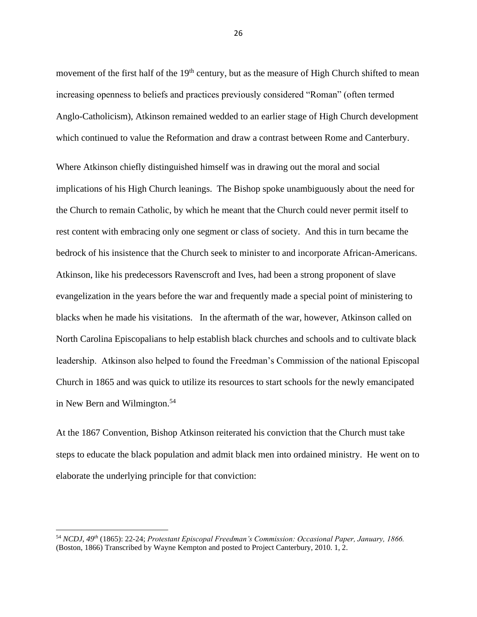movement of the first half of the 19<sup>th</sup> century, but as the measure of High Church shifted to mean increasing openness to beliefs and practices previously considered "Roman" (often termed Anglo-Catholicism), Atkinson remained wedded to an earlier stage of High Church development which continued to value the Reformation and draw a contrast between Rome and Canterbury.

Where Atkinson chiefly distinguished himself was in drawing out the moral and social implications of his High Church leanings. The Bishop spoke unambiguously about the need for the Church to remain Catholic, by which he meant that the Church could never permit itself to rest content with embracing only one segment or class of society. And this in turn became the bedrock of his insistence that the Church seek to minister to and incorporate African-Americans. Atkinson, like his predecessors Ravenscroft and Ives, had been a strong proponent of slave evangelization in the years before the war and frequently made a special point of ministering to blacks when he made his visitations. In the aftermath of the war, however, Atkinson called on North Carolina Episcopalians to help establish black churches and schools and to cultivate black leadership. Atkinson also helped to found the Freedman's Commission of the national Episcopal Church in 1865 and was quick to utilize its resources to start schools for the newly emancipated in New Bern and Wilmington.<sup>54</sup>

At the 1867 Convention, Bishop Atkinson reiterated his conviction that the Church must take steps to educate the black population and admit black men into ordained ministry. He went on to elaborate the underlying principle for that conviction:

<sup>54</sup> *NCDJ, 49th* (1865): 22-24; *Protestant Episcopal Freedman's Commission: Occasional Paper, January, 1866.*  (Boston, 1866) Transcribed by Wayne Kempton and posted to Project Canterbury, 2010. 1, 2.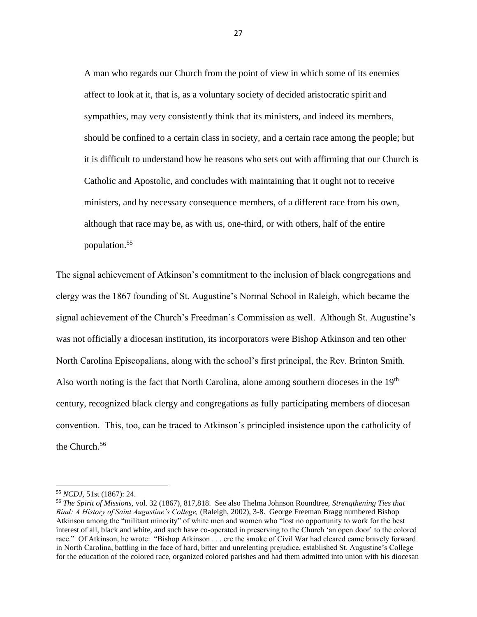A man who regards our Church from the point of view in which some of its enemies affect to look at it, that is, as a voluntary society of decided aristocratic spirit and sympathies, may very consistently think that its ministers, and indeed its members, should be confined to a certain class in society, and a certain race among the people; but it is difficult to understand how he reasons who sets out with affirming that our Church is Catholic and Apostolic, and concludes with maintaining that it ought not to receive ministers, and by necessary consequence members, of a different race from his own, although that race may be, as with us, one-third, or with others, half of the entire population.<sup>55</sup>

The signal achievement of Atkinson's commitment to the inclusion of black congregations and clergy was the 1867 founding of St. Augustine's Normal School in Raleigh, which became the signal achievement of the Church's Freedman's Commission as well. Although St. Augustine's was not officially a diocesan institution, its incorporators were Bishop Atkinson and ten other North Carolina Episcopalians, along with the school's first principal, the Rev. Brinton Smith. Also worth noting is the fact that North Carolina, alone among southern dioceses in the  $19<sup>th</sup>$ century, recognized black clergy and congregations as fully participating members of diocesan convention. This, too, can be traced to Atkinson's principled insistence upon the catholicity of the Church.<sup>56</sup>

<sup>55</sup> *NCDJ,* 51st (1867): 24.

<sup>56</sup> *The Spirit of Missions,* vol. 32 (1867), 817,818. See also Thelma Johnson Roundtree, *Strengthening Ties that Bind: A History of Saint Augustine's College,* (Raleigh, 2002), 3-8. George Freeman Bragg numbered Bishop Atkinson among the "militant minority" of white men and women who "lost no opportunity to work for the best interest of all, black and white, and such have co-operated in preserving to the Church 'an open door' to the colored race." Of Atkinson, he wrote: "Bishop Atkinson . . . ere the smoke of Civil War had cleared came bravely forward in North Carolina, battling in the face of hard, bitter and unrelenting prejudice, established St. Augustine's College for the education of the colored race, organized colored parishes and had them admitted into union with his diocesan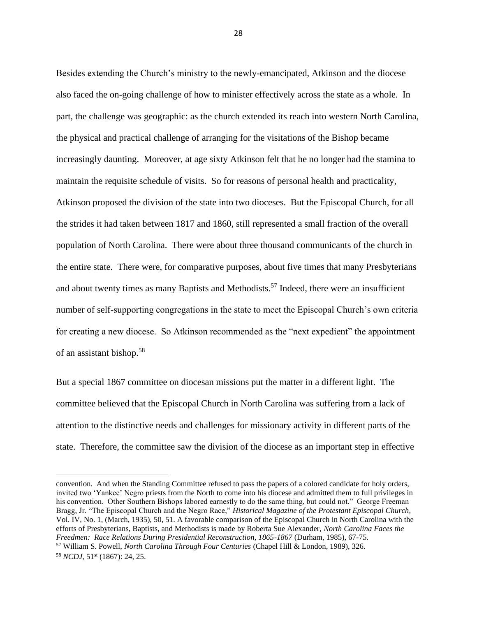Besides extending the Church's ministry to the newly-emancipated, Atkinson and the diocese also faced the on-going challenge of how to minister effectively across the state as a whole. In part, the challenge was geographic: as the church extended its reach into western North Carolina, the physical and practical challenge of arranging for the visitations of the Bishop became increasingly daunting. Moreover, at age sixty Atkinson felt that he no longer had the stamina to maintain the requisite schedule of visits. So for reasons of personal health and practicality, Atkinson proposed the division of the state into two dioceses. But the Episcopal Church, for all the strides it had taken between 1817 and 1860, still represented a small fraction of the overall population of North Carolina. There were about three thousand communicants of the church in the entire state. There were, for comparative purposes, about five times that many Presbyterians and about twenty times as many Baptists and Methodists.<sup>57</sup> Indeed, there were an insufficient number of self-supporting congregations in the state to meet the Episcopal Church's own criteria for creating a new diocese. So Atkinson recommended as the "next expedient" the appointment of an assistant bishop.<sup>58</sup>

But a special 1867 committee on diocesan missions put the matter in a different light. The committee believed that the Episcopal Church in North Carolina was suffering from a lack of attention to the distinctive needs and challenges for missionary activity in different parts of the state. Therefore, the committee saw the division of the diocese as an important step in effective

convention. And when the Standing Committee refused to pass the papers of a colored candidate for holy orders, invited two 'Yankee' Negro priests from the North to come into his diocese and admitted them to full privileges in his convention. Other Southern Bishops labored earnestly to do the same thing, but could not." George Freeman Bragg, Jr. "The Episcopal Church and the Negro Race," *Historical Magazine of the Protestant Episcopal Church,*  Vol. IV, No. 1, (March, 1935), 50, 51. A favorable comparison of the Episcopal Church in North Carolina with the efforts of Presbyterians, Baptists, and Methodists is made by Roberta Sue Alexander, *North Carolina Faces the Freedmen: Race Relations During Presidential Reconstruction, 1865-1867* (Durham, 1985), 67-75.

<sup>57</sup> William S. Powell, *North Carolina Through Four Centuries* (Chapel Hill & London, 1989), 326. <sup>58</sup> *NCDJ,* 51st (1867): 24, 25.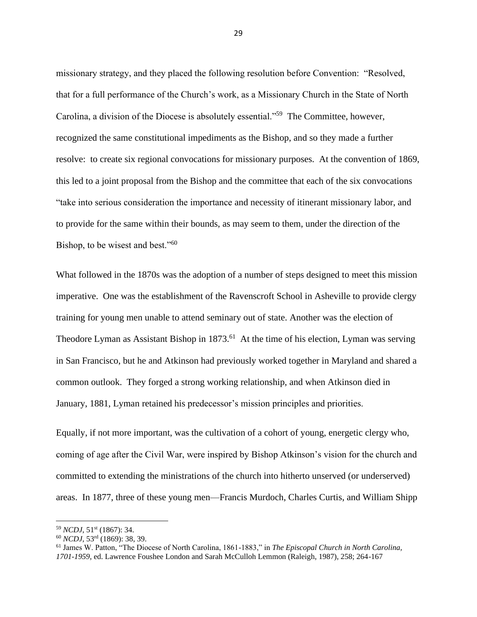missionary strategy, and they placed the following resolution before Convention: "Resolved, that for a full performance of the Church's work, as a Missionary Church in the State of North Carolina, a division of the Diocese is absolutely essential."<sup>59</sup> The Committee, however, recognized the same constitutional impediments as the Bishop, and so they made a further resolve: to create six regional convocations for missionary purposes. At the convention of 1869, this led to a joint proposal from the Bishop and the committee that each of the six convocations "take into serious consideration the importance and necessity of itinerant missionary labor, and to provide for the same within their bounds, as may seem to them, under the direction of the Bishop, to be wisest and best."<sup>60</sup>

What followed in the 1870s was the adoption of a number of steps designed to meet this mission imperative. One was the establishment of the Ravenscroft School in Asheville to provide clergy training for young men unable to attend seminary out of state. Another was the election of Theodore Lyman as Assistant Bishop in 1873.<sup>61</sup> At the time of his election, Lyman was serving in San Francisco, but he and Atkinson had previously worked together in Maryland and shared a common outlook. They forged a strong working relationship, and when Atkinson died in January, 1881, Lyman retained his predecessor's mission principles and priorities.

Equally, if not more important, was the cultivation of a cohort of young, energetic clergy who, coming of age after the Civil War, were inspired by Bishop Atkinson's vision for the church and committed to extending the ministrations of the church into hitherto unserved (or underserved) areas. In 1877, three of these young men—Francis Murdoch, Charles Curtis, and William Shipp

<sup>59</sup> *NCDJ*, 51st (1867): 34.

<sup>60</sup> *NCDJ*, 53rd (1869): 38, 39.

<sup>61</sup> James W. Patton, "The Diocese of North Carolina, 1861-1883," in *The Episcopal Church in North Carolina, 1701-1959,* ed. Lawrence Foushee London and Sarah McCulloh Lemmon (Raleigh, 1987), 258; 264-167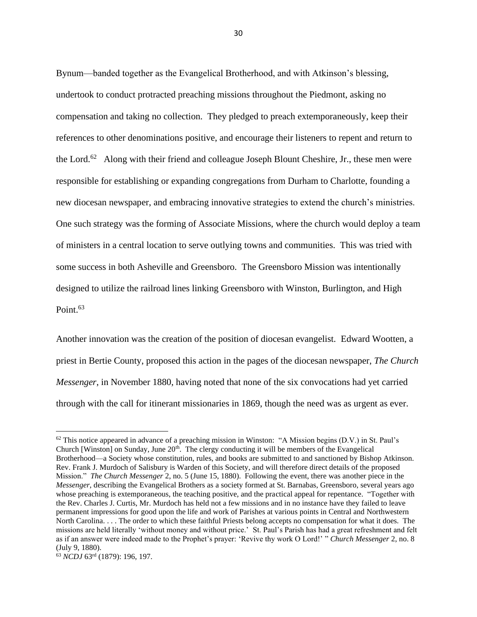Bynum—banded together as the Evangelical Brotherhood, and with Atkinson's blessing, undertook to conduct protracted preaching missions throughout the Piedmont, asking no compensation and taking no collection. They pledged to preach extemporaneously, keep their references to other denominations positive, and encourage their listeners to repent and return to the Lord.<sup>62</sup> Along with their friend and colleague Joseph Blount Cheshire, Jr., these men were responsible for establishing or expanding congregations from Durham to Charlotte, founding a new diocesan newspaper, and embracing innovative strategies to extend the church's ministries. One such strategy was the forming of Associate Missions, where the church would deploy a team of ministers in a central location to serve outlying towns and communities. This was tried with some success in both Asheville and Greensboro. The Greensboro Mission was intentionally designed to utilize the railroad lines linking Greensboro with Winston, Burlington, and High Point.<sup>63</sup>

Another innovation was the creation of the position of diocesan evangelist. Edward Wootten, a priest in Bertie County, proposed this action in the pages of the diocesan newspaper, *The Church Messenger*, in November 1880, having noted that none of the six convocations had yet carried through with the call for itinerant missionaries in 1869, though the need was as urgent as ever.

 $62$  This notice appeared in advance of a preaching mission in Winston: "A Mission begins (D.V.) in St. Paul's Church [Winston] on Sunday, June  $20<sup>th</sup>$ . The clergy conducting it will be members of the Evangelical Brotherhood—a Society whose constitution, rules, and books are submitted to and sanctioned by Bishop Atkinson. Rev. Frank J. Murdoch of Salisbury is Warden of this Society, and will therefore direct details of the proposed Mission." *The Church Messenger* 2, no. 5 (June 15, 1880). Following the event, there was another piece in the *Messenger*, describing the Evangelical Brothers as a society formed at St. Barnabas, Greensboro, several years ago whose preaching is extemporaneous, the teaching positive, and the practical appeal for repentance. "Together with the Rev. Charles J. Curtis, Mr. Murdoch has held not a few missions and in no instance have they failed to leave permanent impressions for good upon the life and work of Parishes at various points in Central and Northwestern North Carolina. . . . The order to which these faithful Priests belong accepts no compensation for what it does. The missions are held literally 'without money and without price.' St. Paul's Parish has had a great refreshment and felt as if an answer were indeed made to the Prophet's prayer: 'Revive thy work O Lord!' " *Church Messenger* 2, no. 8 (July 9, 1880).

<sup>63</sup> *NCDJ* 63rd (1879): 196, 197.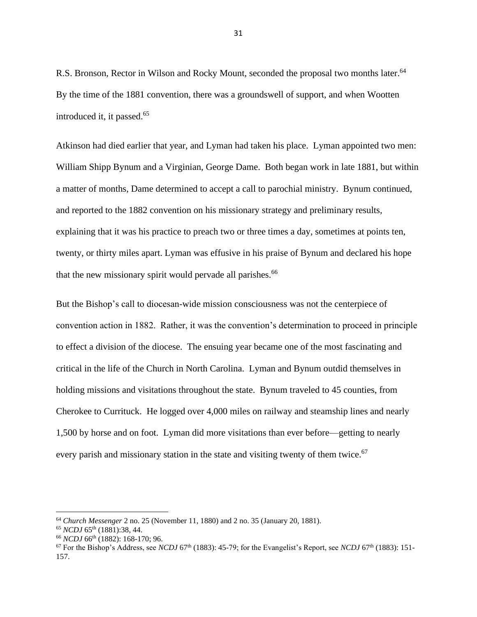R.S. Bronson, Rector in Wilson and Rocky Mount, seconded the proposal two months later.<sup>64</sup> By the time of the 1881 convention, there was a groundswell of support, and when Wootten introduced it, it passed.<sup>65</sup>

Atkinson had died earlier that year, and Lyman had taken his place. Lyman appointed two men: William Shipp Bynum and a Virginian, George Dame. Both began work in late 1881, but within a matter of months, Dame determined to accept a call to parochial ministry. Bynum continued, and reported to the 1882 convention on his missionary strategy and preliminary results, explaining that it was his practice to preach two or three times a day, sometimes at points ten, twenty, or thirty miles apart. Lyman was effusive in his praise of Bynum and declared his hope that the new missionary spirit would pervade all parishes.<sup>66</sup>

But the Bishop's call to diocesan-wide mission consciousness was not the centerpiece of convention action in 1882. Rather, it was the convention's determination to proceed in principle to effect a division of the diocese. The ensuing year became one of the most fascinating and critical in the life of the Church in North Carolina. Lyman and Bynum outdid themselves in holding missions and visitations throughout the state. Bynum traveled to 45 counties, from Cherokee to Currituck. He logged over 4,000 miles on railway and steamship lines and nearly 1,500 by horse and on foot. Lyman did more visitations than ever before—getting to nearly every parish and missionary station in the state and visiting twenty of them twice.<sup>67</sup>

<sup>64</sup> *Church Messenger* 2 no. 25 (November 11, 1880) and 2 no. 35 (January 20, 1881).

<sup>65</sup> *NCDJ* 65th (1881):38, 44.

<sup>66</sup> *NCDJ* 66th (1882): 168-170; 96.

<sup>&</sup>lt;sup>67</sup> For the Bishop's Address, see *NCDJ* 67<sup>th</sup> (1883): 45-79; for the Evangelist's Report, see *NCDJ* 67<sup>th</sup> (1883): 151-157.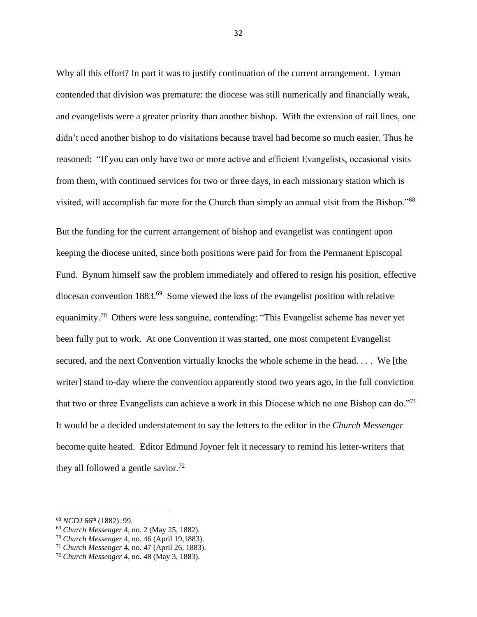Why all this effort? In part it was to justify continuation of the current arrangement. Lyman contended that division was premature: the diocese was still numerically and financially weak, and evangelists were a greater priority than another bishop. With the extension of rail lines, one didn't need another bishop to do visitations because travel had become so much easier. Thus he reasoned: "If you can only have two or more active and efficient Evangelists, occasional visits from them, with continued services for two or three days, in each missionary station which is visited, will accomplish far more for the Church than simply an annual visit from the Bishop."<sup>68</sup>

But the funding for the current arrangement of bishop and evangelist was contingent upon keeping the diocese united, since both positions were paid for from the Permanent Episcopal Fund. Bynum himself saw the problem immediately and offered to resign his position, effective diocesan convention 1883.<sup>69</sup> Some viewed the loss of the evangelist position with relative equanimity.<sup>70</sup> Others were less sanguine, contending: "This Evangelist scheme has never yet been fully put to work. At one Convention it was started, one most competent Evangelist secured, and the next Convention virtually knocks the whole scheme in the head. . . . We [the writer] stand to-day where the convention apparently stood two years ago, in the full conviction that two or three Evangelists can achieve a work in this Diocese which no one Bishop can do."<sup>71</sup> It would be a decided understatement to say the letters to the editor in the *Church Messenger* become quite heated. Editor Edmund Joyner felt it necessary to remind his letter-writers that they all followed a gentle savior.<sup>72</sup>

<sup>68</sup> *NCDJ* 66th (1882): 99.

<sup>69</sup> *Church Messenger* 4, no. 2 (May 25, 1882).

<sup>70</sup> *Church Messenger* 4, no. 46 (April 19,1883).

<sup>71</sup> *Church Messenger* 4, no. 47 (April 26, 1883).

<sup>72</sup> *Church Messenger* 4, no. 48 (May 3, 1883).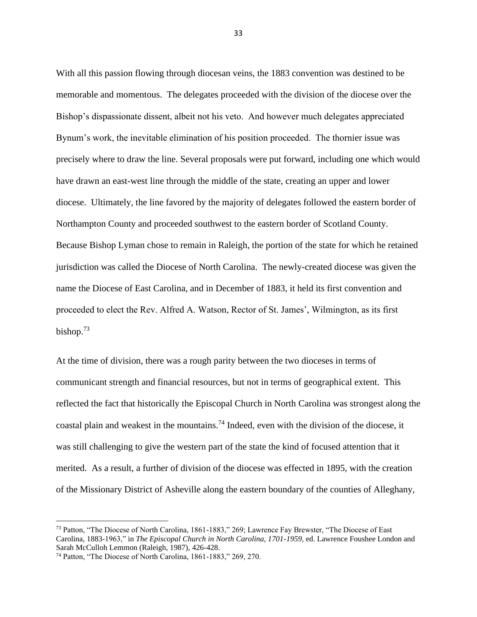With all this passion flowing through diocesan veins, the 1883 convention was destined to be memorable and momentous. The delegates proceeded with the division of the diocese over the Bishop's dispassionate dissent, albeit not his veto. And however much delegates appreciated Bynum's work, the inevitable elimination of his position proceeded. The thornier issue was precisely where to draw the line. Several proposals were put forward, including one which would have drawn an east-west line through the middle of the state, creating an upper and lower diocese. Ultimately, the line favored by the majority of delegates followed the eastern border of Northampton County and proceeded southwest to the eastern border of Scotland County. Because Bishop Lyman chose to remain in Raleigh, the portion of the state for which he retained jurisdiction was called the Diocese of North Carolina. The newly-created diocese was given the name the Diocese of East Carolina, and in December of 1883, it held its first convention and proceeded to elect the Rev. Alfred A. Watson, Rector of St. James', Wilmington, as its first bishop.<sup>73</sup>

At the time of division, there was a rough parity between the two dioceses in terms of communicant strength and financial resources, but not in terms of geographical extent. This reflected the fact that historically the Episcopal Church in North Carolina was strongest along the coastal plain and weakest in the mountains.<sup>74</sup> Indeed, even with the division of the diocese, it was still challenging to give the western part of the state the kind of focused attention that it merited. As a result, a further of division of the diocese was effected in 1895, with the creation of the Missionary District of Asheville along the eastern boundary of the counties of Alleghany,

<sup>73</sup> Patton, "The Diocese of North Carolina, 1861-1883," 269; Lawrence Fay Brewster, "The Diocese of East Carolina, 1883-1963," in *The Episcopal Church in North Carolina, 1701-1959,* ed. Lawrence Foushee London and Sarah McCulloh Lemmon (Raleigh, 1987), 426-428.

<sup>74</sup> Patton, "The Diocese of North Carolina, 1861-1883," 269, 270.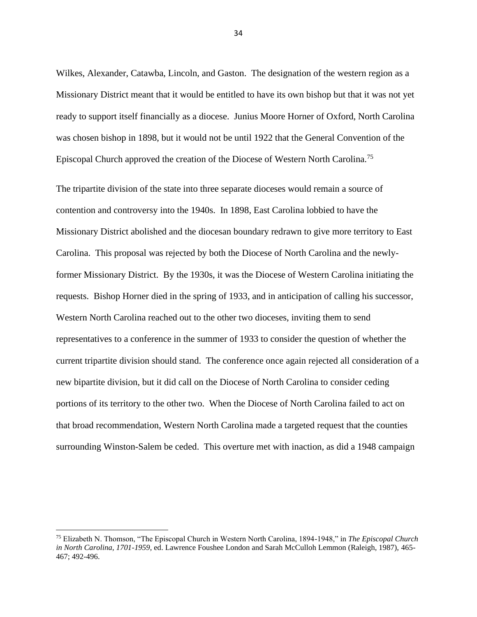Wilkes, Alexander, Catawba, Lincoln, and Gaston. The designation of the western region as a Missionary District meant that it would be entitled to have its own bishop but that it was not yet ready to support itself financially as a diocese. Junius Moore Horner of Oxford, North Carolina was chosen bishop in 1898, but it would not be until 1922 that the General Convention of the Episcopal Church approved the creation of the Diocese of Western North Carolina.<sup>75</sup>

The tripartite division of the state into three separate dioceses would remain a source of contention and controversy into the 1940s. In 1898, East Carolina lobbied to have the Missionary District abolished and the diocesan boundary redrawn to give more territory to East Carolina. This proposal was rejected by both the Diocese of North Carolina and the newlyformer Missionary District. By the 1930s, it was the Diocese of Western Carolina initiating the requests. Bishop Horner died in the spring of 1933, and in anticipation of calling his successor, Western North Carolina reached out to the other two dioceses, inviting them to send representatives to a conference in the summer of 1933 to consider the question of whether the current tripartite division should stand. The conference once again rejected all consideration of a new bipartite division, but it did call on the Diocese of North Carolina to consider ceding portions of its territory to the other two. When the Diocese of North Carolina failed to act on that broad recommendation, Western North Carolina made a targeted request that the counties surrounding Winston-Salem be ceded. This overture met with inaction, as did a 1948 campaign

<sup>75</sup> Elizabeth N. Thomson, "The Episcopal Church in Western North Carolina, 1894-1948," in *The Episcopal Church in North Carolina, 1701-1959,* ed. Lawrence Foushee London and Sarah McCulloh Lemmon (Raleigh, 1987), 465- 467; 492-496.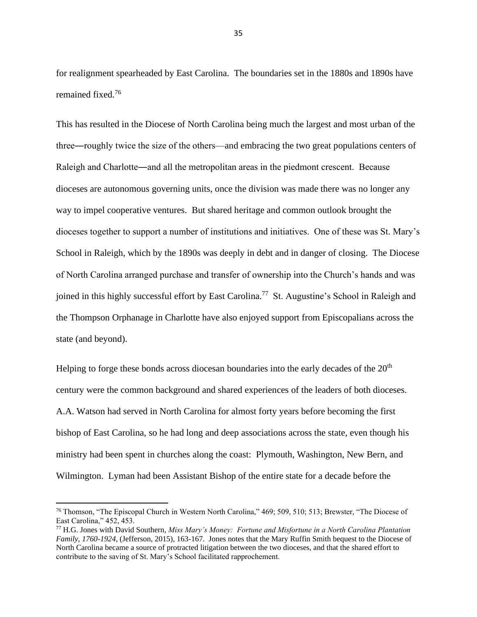for realignment spearheaded by East Carolina. The boundaries set in the 1880s and 1890s have remained fixed.<sup>76</sup>

This has resulted in the Diocese of North Carolina being much the largest and most urban of the three―roughly twice the size of the others—and embracing the two great populations centers of Raleigh and Charlotte―and all the metropolitan areas in the piedmont crescent. Because dioceses are autonomous governing units, once the division was made there was no longer any way to impel cooperative ventures. But shared heritage and common outlook brought the dioceses together to support a number of institutions and initiatives. One of these was St. Mary's School in Raleigh, which by the 1890s was deeply in debt and in danger of closing. The Diocese of North Carolina arranged purchase and transfer of ownership into the Church's hands and was joined in this highly successful effort by East Carolina.<sup>77</sup> St. Augustine's School in Raleigh and the Thompson Orphanage in Charlotte have also enjoyed support from Episcopalians across the state (and beyond).

Helping to forge these bonds across diocesan boundaries into the early decades of the  $20<sup>th</sup>$ century were the common background and shared experiences of the leaders of both dioceses. A.A. Watson had served in North Carolina for almost forty years before becoming the first bishop of East Carolina, so he had long and deep associations across the state, even though his ministry had been spent in churches along the coast: Plymouth, Washington, New Bern, and Wilmington. Lyman had been Assistant Bishop of the entire state for a decade before the

<sup>76</sup> Thomson, "The Episcopal Church in Western North Carolina," 469; 509, 510; 513; Brewster, "The Diocese of East Carolina," 452, 453.

<sup>77</sup> H.G. Jones with David Southern, *Miss Mary's Money: Fortune and Misfortune in a North Carolina Plantation Family, 1760-1924,* (Jefferson, 2015), 163-167. Jones notes that the Mary Ruffin Smith bequest to the Diocese of North Carolina became a source of protracted litigation between the two dioceses, and that the shared effort to contribute to the saving of St. Mary's School facilitated rapprochement.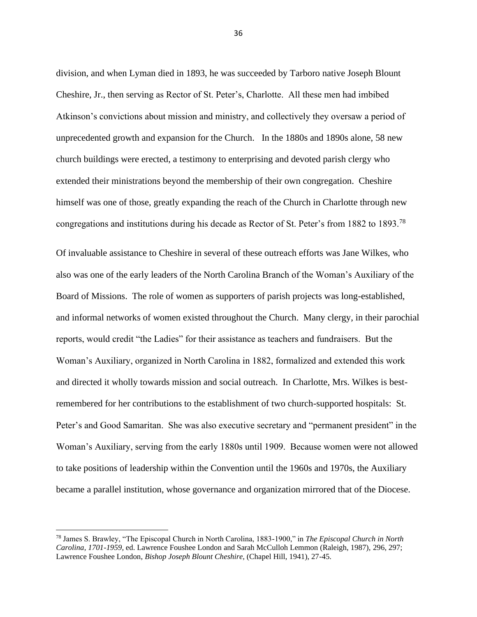division, and when Lyman died in 1893, he was succeeded by Tarboro native Joseph Blount Cheshire, Jr., then serving as Rector of St. Peter's, Charlotte. All these men had imbibed Atkinson's convictions about mission and ministry, and collectively they oversaw a period of unprecedented growth and expansion for the Church. In the 1880s and 1890s alone, 58 new church buildings were erected, a testimony to enterprising and devoted parish clergy who extended their ministrations beyond the membership of their own congregation. Cheshire himself was one of those, greatly expanding the reach of the Church in Charlotte through new congregations and institutions during his decade as Rector of St. Peter's from 1882 to 1893.<sup>78</sup>

Of invaluable assistance to Cheshire in several of these outreach efforts was Jane Wilkes, who also was one of the early leaders of the North Carolina Branch of the Woman's Auxiliary of the Board of Missions. The role of women as supporters of parish projects was long-established, and informal networks of women existed throughout the Church. Many clergy, in their parochial reports, would credit "the Ladies" for their assistance as teachers and fundraisers. But the Woman's Auxiliary, organized in North Carolina in 1882, formalized and extended this work and directed it wholly towards mission and social outreach. In Charlotte, Mrs. Wilkes is bestremembered for her contributions to the establishment of two church-supported hospitals: St. Peter's and Good Samaritan. She was also executive secretary and "permanent president" in the Woman's Auxiliary, serving from the early 1880s until 1909. Because women were not allowed to take positions of leadership within the Convention until the 1960s and 1970s, the Auxiliary became a parallel institution, whose governance and organization mirrored that of the Diocese.

<sup>78</sup> James S. Brawley, "The Episcopal Church in North Carolina, 1883-1900," in *The Episcopal Church in North Carolina, 1701-1959,* ed. Lawrence Foushee London and Sarah McCulloh Lemmon (Raleigh, 1987), 296, 297; Lawrence Foushee London, *Bishop Joseph Blount Cheshire,* (Chapel Hill, 1941), 27-45.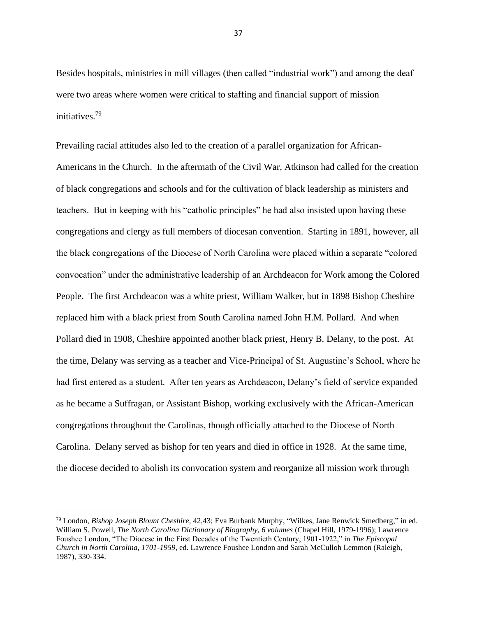Besides hospitals, ministries in mill villages (then called "industrial work") and among the deaf were two areas where women were critical to staffing and financial support of mission initiatives.<sup>79</sup>

Prevailing racial attitudes also led to the creation of a parallel organization for African-Americans in the Church. In the aftermath of the Civil War, Atkinson had called for the creation of black congregations and schools and for the cultivation of black leadership as ministers and teachers. But in keeping with his "catholic principles" he had also insisted upon having these congregations and clergy as full members of diocesan convention. Starting in 1891, however, all the black congregations of the Diocese of North Carolina were placed within a separate "colored convocation" under the administrative leadership of an Archdeacon for Work among the Colored People. The first Archdeacon was a white priest, William Walker, but in 1898 Bishop Cheshire replaced him with a black priest from South Carolina named John H.M. Pollard. And when Pollard died in 1908, Cheshire appointed another black priest, Henry B. Delany, to the post. At the time, Delany was serving as a teacher and Vice-Principal of St. Augustine's School, where he had first entered as a student. After ten years as Archdeacon, Delany's field of service expanded as he became a Suffragan, or Assistant Bishop, working exclusively with the African-American congregations throughout the Carolinas, though officially attached to the Diocese of North Carolina. Delany served as bishop for ten years and died in office in 1928. At the same time, the diocese decided to abolish its convocation system and reorganize all mission work through

<sup>79</sup> London, *Bishop Joseph Blount Cheshire,* 42,43; Eva Burbank Murphy, "Wilkes, Jane Renwick Smedberg," in ed. William S. Powell, *The North Carolina Dictionary of Biography, 6 volumes* (Chapel Hill, 1979-1996); Lawrence Foushee London, "The Diocese in the First Decades of the Twentieth Century, 1901-1922," in *The Episcopal Church in North Carolina, 1701-1959,* ed. Lawrence Foushee London and Sarah McCulloh Lemmon (Raleigh, 1987), 330-334.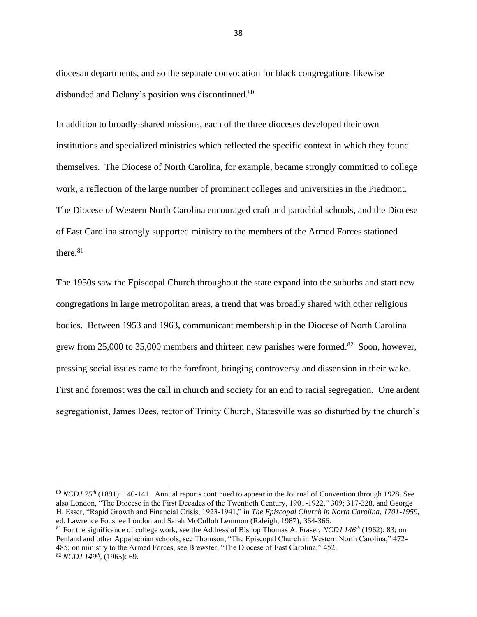diocesan departments, and so the separate convocation for black congregations likewise disbanded and Delany's position was discontinued.<sup>80</sup>

In addition to broadly-shared missions, each of the three dioceses developed their own institutions and specialized ministries which reflected the specific context in which they found themselves. The Diocese of North Carolina, for example, became strongly committed to college work, a reflection of the large number of prominent colleges and universities in the Piedmont. The Diocese of Western North Carolina encouraged craft and parochial schools, and the Diocese of East Carolina strongly supported ministry to the members of the Armed Forces stationed there $81$ 

The 1950s saw the Episcopal Church throughout the state expand into the suburbs and start new congregations in large metropolitan areas, a trend that was broadly shared with other religious bodies. Between 1953 and 1963, communicant membership in the Diocese of North Carolina grew from 25,000 to 35,000 members and thirteen new parishes were formed.<sup>82</sup> Soon, however, pressing social issues came to the forefront, bringing controversy and dissension in their wake. First and foremost was the call in church and society for an end to racial segregation. One ardent segregationist, James Dees, rector of Trinity Church, Statesville was so disturbed by the church's

<sup>80</sup> *NCDJ 75th* (1891): 140-141. Annual reports continued to appear in the Journal of Convention through 1928. See also London, "The Diocese in the First Decades of the Twentieth Century, 1901-1922," 309; 317-328, and George H. Esser, "Rapid Growth and Financial Crisis, 1923-1941," in *The Episcopal Church in North Carolina, 1701-1959,*  ed. Lawrence Foushee London and Sarah McCulloh Lemmon (Raleigh, 1987), 364-366.

<sup>81</sup> For the significance of college work, see the Address of Bishop Thomas A. Fraser, *NCDJ 146th* (1962): 83; on Penland and other Appalachian schools, see Thomson, "The Episcopal Church in Western North Carolina," 472- 485; on ministry to the Armed Forces, see Brewster, "The Diocese of East Carolina," 452. <sup>82</sup> *NCDJ 149th ,* (1965): 69.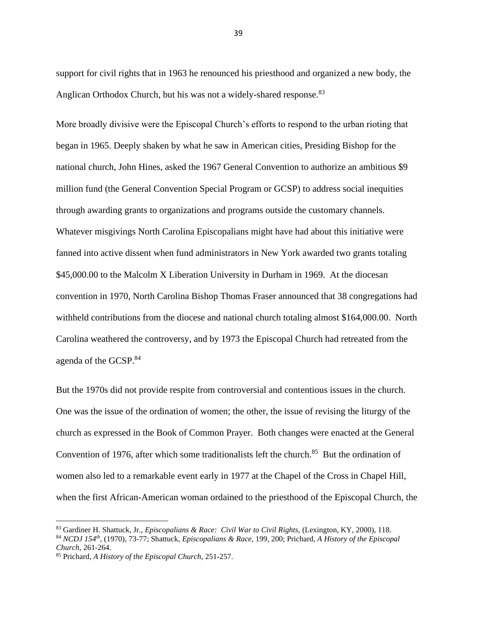support for civil rights that in 1963 he renounced his priesthood and organized a new body, the Anglican Orthodox Church, but his was not a widely-shared response.<sup>83</sup>

More broadly divisive were the Episcopal Church's efforts to respond to the urban rioting that began in 1965. Deeply shaken by what he saw in American cities, Presiding Bishop for the national church, John Hines, asked the 1967 General Convention to authorize an ambitious \$9 million fund (the General Convention Special Program or GCSP) to address social inequities through awarding grants to organizations and programs outside the customary channels. Whatever misgivings North Carolina Episcopalians might have had about this initiative were fanned into active dissent when fund administrators in New York awarded two grants totaling \$45,000.00 to the Malcolm X Liberation University in Durham in 1969. At the diocesan convention in 1970, North Carolina Bishop Thomas Fraser announced that 38 congregations had withheld contributions from the diocese and national church totaling almost \$164,000.00. North Carolina weathered the controversy, and by 1973 the Episcopal Church had retreated from the agenda of the GCSP.<sup>84</sup>

But the 1970s did not provide respite from controversial and contentious issues in the church. One was the issue of the ordination of women; the other, the issue of revising the liturgy of the church as expressed in the Book of Common Prayer. Both changes were enacted at the General Convention of 1976, after which some traditionalists left the church. $85$  But the ordination of women also led to a remarkable event early in 1977 at the Chapel of the Cross in Chapel Hill, when the first African-American woman ordained to the priesthood of the Episcopal Church, the

<sup>83</sup> Gardiner H. Shattuck, Jr., *Episcopalians & Race: Civil War to Civil Rights,* (Lexington, KY, 2000), 118.

<sup>84</sup> *NCDJ 154th ,* (1970), 73-77; Shattuck, *Episcopalians & Race,* 199, 200; Prichard, *A History of the Episcopal Church,* 261-264.

<sup>85</sup> Prichard, *A History of the Episcopal Church,* 251-257.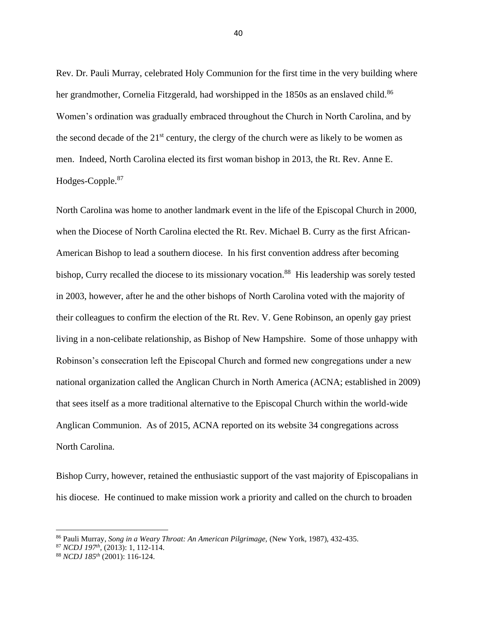Rev. Dr. Pauli Murray, celebrated Holy Communion for the first time in the very building where her grandmother, Cornelia Fitzgerald, had worshipped in the 1850s as an enslaved child.<sup>86</sup> Women's ordination was gradually embraced throughout the Church in North Carolina, and by the second decade of the  $21^{st}$  century, the clergy of the church were as likely to be women as men. Indeed, North Carolina elected its first woman bishop in 2013, the Rt. Rev. Anne E. Hodges-Copple.<sup>87</sup>

North Carolina was home to another landmark event in the life of the Episcopal Church in 2000, when the Diocese of North Carolina elected the Rt. Rev. Michael B. Curry as the first African-American Bishop to lead a southern diocese. In his first convention address after becoming bishop, Curry recalled the diocese to its missionary vocation.<sup>88</sup> His leadership was sorely tested in 2003, however, after he and the other bishops of North Carolina voted with the majority of their colleagues to confirm the election of the Rt. Rev. V. Gene Robinson, an openly gay priest living in a non-celibate relationship, as Bishop of New Hampshire. Some of those unhappy with Robinson's consecration left the Episcopal Church and formed new congregations under a new national organization called the Anglican Church in North America (ACNA; established in 2009) that sees itself as a more traditional alternative to the Episcopal Church within the world-wide Anglican Communion. As of 2015, ACNA reported on its website 34 congregations across North Carolina.

Bishop Curry, however, retained the enthusiastic support of the vast majority of Episcopalians in his diocese. He continued to make mission work a priority and called on the church to broaden

<sup>86</sup> Pauli Murray, *Song in a Weary Throat: An American Pilgrimage,* (New York, 1987), 432-435.

<sup>87</sup> *NCDJ 197th ,* (2013): 1, 112-114.

<sup>88</sup> *NCDJ 185th* (2001): 116-124.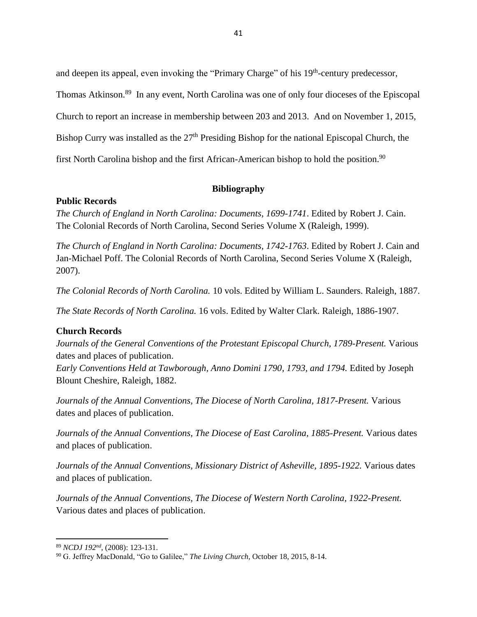and deepen its appeal, even invoking the "Primary Charge" of his 19<sup>th</sup>-century predecessor,

Thomas Atkinson.<sup>89</sup> In any event, North Carolina was one of only four dioceses of the Episcopal

Church to report an increase in membership between 203 and 2013. And on November 1, 2015,

Bishop Curry was installed as the 27<sup>th</sup> Presiding Bishop for the national Episcopal Church, the

first North Carolina bishop and the first African-American bishop to hold the position.<sup>90</sup>

## **Bibliography**

## **Public Records**

*The Church of England in North Carolina: Documents, 1699-1741*. Edited by Robert J. Cain. The Colonial Records of North Carolina, Second Series Volume X (Raleigh, 1999).

*The Church of England in North Carolina: Documents, 1742-1763*. Edited by Robert J. Cain and Jan-Michael Poff. The Colonial Records of North Carolina, Second Series Volume X (Raleigh, 2007).

*The Colonial Records of North Carolina.* 10 vols. Edited by William L. Saunders. Raleigh, 1887.

*The State Records of North Carolina.* 16 vols. Edited by Walter Clark. Raleigh, 1886-1907.

## **Church Records**

*Journals of the General Conventions of the Protestant Episcopal Church, 1789-Present.* Various dates and places of publication.

*Early Conventions Held at Tawborough, Anno Domini 1790, 1793, and 1794. Edited by Joseph* Blount Cheshire, Raleigh, 1882.

*Journals of the Annual Conventions, The Diocese of North Carolina, 1817-Present.* Various dates and places of publication.

*Journals of the Annual Conventions, The Diocese of East Carolina, 1885-Present.* Various dates and places of publication.

*Journals of the Annual Conventions, Missionary District of Asheville, 1895-1922.* Various dates and places of publication.

*Journals of the Annual Conventions, The Diocese of Western North Carolina, 1922-Present.* Various dates and places of publication.

<sup>89</sup> *NCDJ 192nd ,* (2008): 123-131.

<sup>90</sup> G. Jeffrey MacDonald, "Go to Galilee," *The Living Church,* October 18, 2015, 8-14.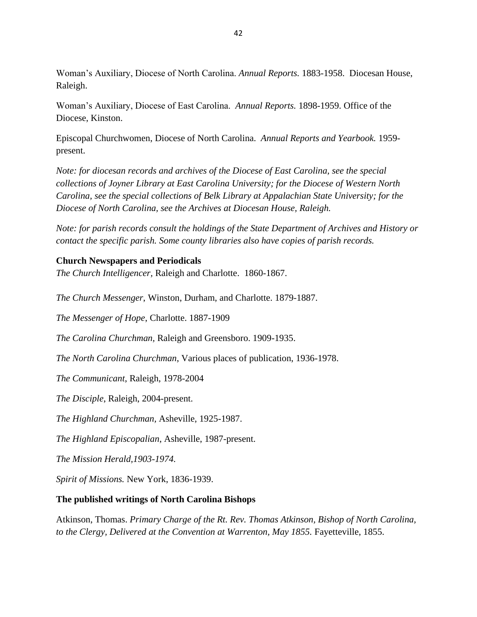Woman's Auxiliary, Diocese of North Carolina. *Annual Reports.* 1883-1958. Diocesan House, Raleigh.

Woman's Auxiliary, Diocese of East Carolina. *Annual Reports.* 1898-1959. Office of the Diocese, Kinston.

Episcopal Churchwomen, Diocese of North Carolina. *Annual Reports and Yearbook.* 1959 present.

*Note: for diocesan records and archives of the Diocese of East Carolina, see the special collections of Joyner Library at East Carolina University; for the Diocese of Western North Carolina, see the special collections of Belk Library at Appalachian State University; for the Diocese of North Carolina, see the Archives at Diocesan House, Raleigh.* 

*Note: for parish records consult the holdings of the State Department of Archives and History or contact the specific parish. Some county libraries also have copies of parish records.*

### **Church Newspapers and Periodicals**

*The Church Intelligencer,* Raleigh and Charlotte. 1860-1867.

*The Church Messenger*, Winston, Durham, and Charlotte. 1879-1887.

*The Messenger of Hope*, Charlotte. 1887-1909

*The Carolina Churchman,* Raleigh and Greensboro. 1909-1935.

*The North Carolina Churchman*, Various places of publication, 1936-1978.

*The Communicant*, Raleigh, 1978-2004

*The Disciple*, Raleigh, 2004-present.

*The Highland Churchman,* Asheville, 1925-1987.

*The Highland Episcopalian*, Asheville, 1987-present.

*The Mission Herald,1903-1974.*

*Spirit of Missions.* New York, 1836-1939.

## **The published writings of North Carolina Bishops**

Atkinson, Thomas. *Primary Charge of the Rt. Rev. Thomas Atkinson, Bishop of North Carolina, to the Clergy, Delivered at the Convention at Warrenton, May 1855.* Fayetteville, 1855.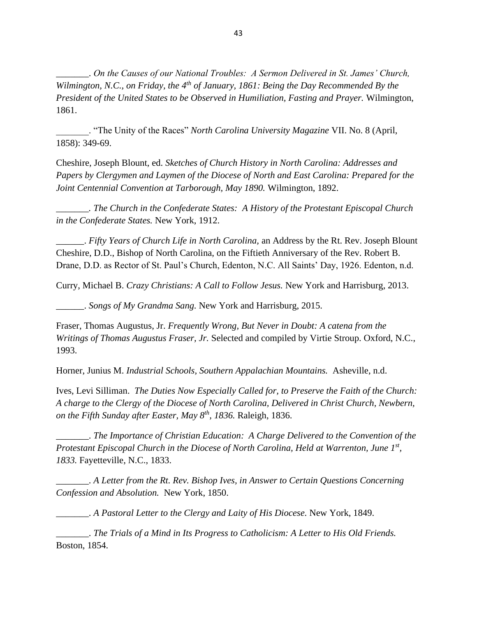\_\_\_\_\_\_\_. *On the Causes of our National Troubles: A Sermon Delivered in St. James' Church, Wilmington, N.C., on Friday, the 4th of January, 1861: Being the Day Recommended By the President of the United States to be Observed in Humiliation, Fasting and Prayer.* Wilmington, 1861.

\_\_\_\_\_\_\_. "The Unity of the Races" *North Carolina University Magazine* VII. No. 8 (April, 1858): 349-69.

Cheshire, Joseph Blount, ed. *Sketches of Church History in North Carolina: Addresses and Papers by Clergymen and Laymen of the Diocese of North and East Carolina: Prepared for the Joint Centennial Convention at Tarborough, May 1890.* Wilmington, 1892.

*\_\_\_\_\_\_\_. The Church in the Confederate States: A History of the Protestant Episcopal Church in the Confederate States.* New York, 1912.

\_\_\_\_\_\_. *Fifty Years of Church Life in North Carolina,* an Address by the Rt. Rev. Joseph Blount Cheshire, D.D., Bishop of North Carolina, on the Fiftieth Anniversary of the Rev. Robert B. Drane, D.D. as Rector of St. Paul's Church, Edenton, N.C. All Saints' Day, 1926. Edenton, n.d.

Curry, Michael B. *Crazy Christians: A Call to Follow Jesus.* New York and Harrisburg, 2013.

\_\_\_\_\_\_. *Songs of My Grandma Sang.* New York and Harrisburg, 2015.

Fraser, Thomas Augustus, Jr. *Frequently Wrong, But Never in Doubt: A catena from the Writings of Thomas Augustus Fraser, Jr.* Selected and compiled by Virtie Stroup. Oxford, N.C., 1993.

Horner, Junius M. *Industrial Schools, Southern Appalachian Mountains.* Asheville, n.d.

Ives, Levi Silliman. *The Duties Now Especially Called for, to Preserve the Faith of the Church: A charge to the Clergy of the Diocese of North Carolina, Delivered in Christ Church, Newbern, on the Fifth Sunday after Easter, May 8th, 1836.* Raleigh, 1836.

\_\_\_\_\_\_\_. *The Importance of Christian Education: A Charge Delivered to the Convention of the Protestant Episcopal Church in the Diocese of North Carolina, Held at Warrenton, June 1st , 1833.* Fayetteville, N.C., 1833.

\_\_\_\_\_\_\_. *A Letter from the Rt. Rev. Bishop Ives, in Answer to Certain Questions Concerning Confession and Absolution.* New York, 1850.

\_\_\_\_\_\_\_. *A Pastoral Letter to the Clergy and Laity of His Diocese.* New York, 1849.

\_\_\_\_\_\_\_. *The Trials of a Mind in Its Progress to Catholicism: A Letter to His Old Friends.*  Boston, 1854.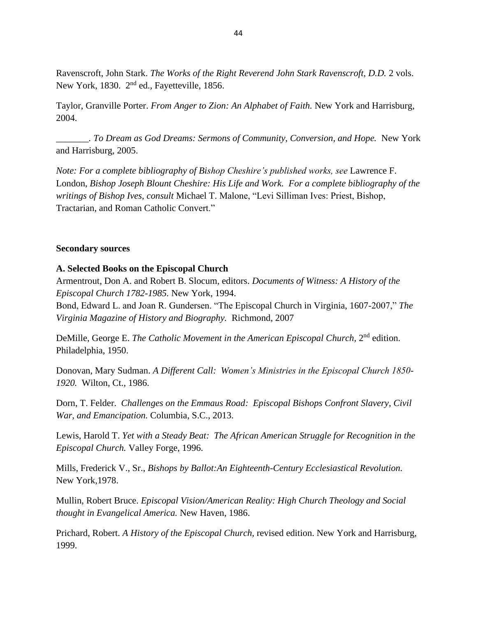Ravenscroft, John Stark. *The Works of the Right Reverend John Stark Ravenscroft, D.D.* 2 vols. New York, 1830. 2<sup>nd</sup> ed., Fayetteville, 1856.

Taylor, Granville Porter. *From Anger to Zion: An Alphabet of Faith.* New York and Harrisburg, 2004.

*\_\_\_\_\_\_\_. To Dream as God Dreams: Sermons of Community, Conversion, and Hope.* New York and Harrisburg, 2005.

*Note: For a complete bibliography of Bishop Cheshire's published works, see* Lawrence F. London, *Bishop Joseph Blount Cheshire: His Life and Work. For a complete bibliography of the writings of Bishop Ives, consult* Michael T. Malone, "Levi Silliman Ives: Priest, Bishop, Tractarian, and Roman Catholic Convert."

#### **Secondary sources**

#### **A. Selected Books on the Episcopal Church**

Armentrout, Don A. and Robert B. Slocum, editors. *Documents of Witness: A History of the Episcopal Church 1782-1985.* New York, 1994.

Bond, Edward L. and Joan R. Gundersen. "The Episcopal Church in Virginia, 1607-2007," *The Virginia Magazine of History and Biography.* Richmond, 2007

DeMille, George E. The Catholic Movement in the American Episcopal Church, 2<sup>nd</sup> edition. Philadelphia, 1950.

Donovan, Mary Sudman. *A Different Call: Women's Ministries in the Episcopal Church 1850- 1920.* Wilton, Ct., 1986.

Dorn, T. Felder. *Challenges on the Emmaus Road: Episcopal Bishops Confront Slavery, Civil War, and Emancipation.* Columbia, S.C., 2013.

Lewis, Harold T. *Yet with a Steady Beat: The African American Struggle for Recognition in the Episcopal Church.* Valley Forge, 1996.

Mills, Frederick V., Sr., *Bishops by Ballot:An Eighteenth-Century Ecclesiastical Revolution.* New York,1978.

Mullin, Robert Bruce. *Episcopal Vision/American Reality: High Church Theology and Social thought in Evangelical America.* New Haven, 1986.

Prichard, Robert. *A History of the Episcopal Church,* revised edition. New York and Harrisburg, 1999.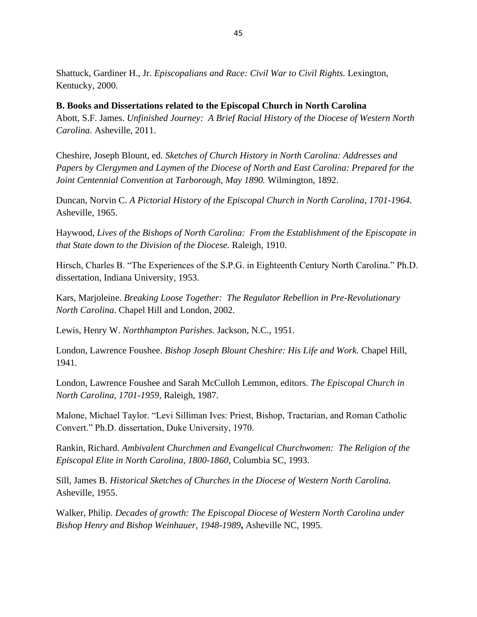Shattuck, Gardiner H., Jr. *Episcopalians and Race: Civil War to Civil Rights.* Lexington, Kentucky, 2000.

## **B. Books and Dissertations related to the Episcopal Church in North Carolina**

Abott, S.F. James. *Unfinished Journey: A Brief Racial History of the Diocese of Western North Carolina.* Asheville, 2011.

Cheshire, Joseph Blount, ed. *Sketches of Church History in North Carolina: Addresses and Papers by Clergymen and Laymen of the Diocese of North and East Carolina: Prepared for the Joint Centennial Convention at Tarborough, May 1890.* Wilmington, 1892.

Duncan, Norvin C. *A Pictorial History of the Episcopal Church in North Carolina, 1701-1964.*  Asheville, 1965.

Haywood, *Lives of the Bishops of North Carolina: From the Establishment of the Episcopate in that State down to the Division of the Diocese.* Raleigh, 1910.

Hirsch, Charles B. "The Experiences of the S.P.G. in Eighteenth Century North Carolina." Ph.D. dissertation, Indiana University, 1953.

Kars, Marjoleine. *Breaking Loose Together: The Regulator Rebellion in Pre-Revolutionary North Carolina*. Chapel Hill and London, 2002.

Lewis, Henry W. *Northhampton Parishes.* Jackson, N.C., 1951.

London, Lawrence Foushee. *Bishop Joseph Blount Cheshire: His Life and Work.* Chapel Hill, 1941.

London, Lawrence Foushee and Sarah McCulloh Lemmon, editors. *The Episcopal Church in North Carolina, 1701-1959,* Raleigh, 1987.

Malone, Michael Taylor. "Levi Silliman Ives: Priest, Bishop, Tractarian, and Roman Catholic Convert." Ph.D. dissertation, Duke University, 1970.

Rankin, Richard. *Ambivalent Churchmen and Evangelical Churchwomen: The Religion of the Episcopal Elite in North Carolina, 1800-1860,* Columbia SC, 1993.

Sill, James B. *Historical Sketches of Churches in the Diocese of Western North Carolina.*  Asheville, 1955.

Walker, Philip. *Decades of growth: The Episcopal Diocese of Western North Carolina under Bishop Henry and Bishop Weinhauer, 1948-1989***,** Asheville NC, 1995.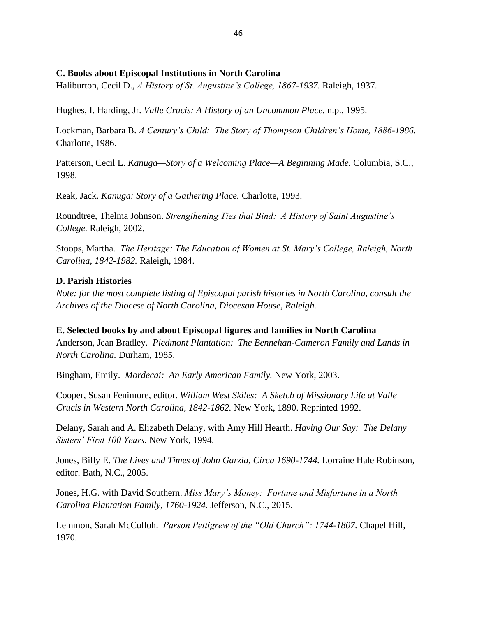#### **C. Books about Episcopal Institutions in North Carolina**

Haliburton, Cecil D., *A History of St. Augustine's College, 1867-1937.* Raleigh, 1937.

Hughes, I. Harding, Jr. *Valle Crucis: A History of an Uncommon Place.* n.p., 1995.

Lockman, Barbara B. *A Century's Child: The Story of Thompson Children's Home, 1886-1986.*  Charlotte, 1986.

Patterson, Cecil L. *Kanuga—Story of a Welcoming Place—A Beginning Made.* Columbia, S.C., 1998.

Reak, Jack. *Kanuga: Story of a Gathering Place.* Charlotte, 1993.

Roundtree, Thelma Johnson. *Strengthening Ties that Bind: A History of Saint Augustine's College.* Raleigh, 2002.

Stoops, Martha. *The Heritage: The Education of Women at St. Mary's College, Raleigh, North Carolina, 1842-1982.* Raleigh, 1984.

#### **D. Parish Histories**

*Note: for the most complete listing of Episcopal parish histories in North Carolina, consult the Archives of the Diocese of North Carolina, Diocesan House, Raleigh.* 

**E. Selected books by and about Episcopal figures and families in North Carolina** Anderson, Jean Bradley. *Piedmont Plantation: The Bennehan-Cameron Family and Lands in North Carolina.* Durham, 1985.

Bingham, Emily. *Mordecai: An Early American Family.* New York, 2003.

Cooper, Susan Fenimore, editor. *William West Skiles: A Sketch of Missionary Life at Valle Crucis in Western North Carolina, 1842-1862.* New York, 1890. Reprinted 1992.

Delany, Sarah and A. Elizabeth Delany, with Amy Hill Hearth. *Having Our Say: The Delany Sisters' First 100 Years.* New York, 1994.

Jones, Billy E. *The Lives and Times of John Garzia, Circa 1690-1744.* Lorraine Hale Robinson, editor. Bath, N.C., 2005.

Jones, H.G. with David Southern. *Miss Mary's Money: Fortune and Misfortune in a North Carolina Plantation Family, 1760-1924.* Jefferson, N.C., 2015.

Lemmon, Sarah McCulloh. *Parson Pettigrew of the "Old Church": 1744-1807.* Chapel Hill, 1970.